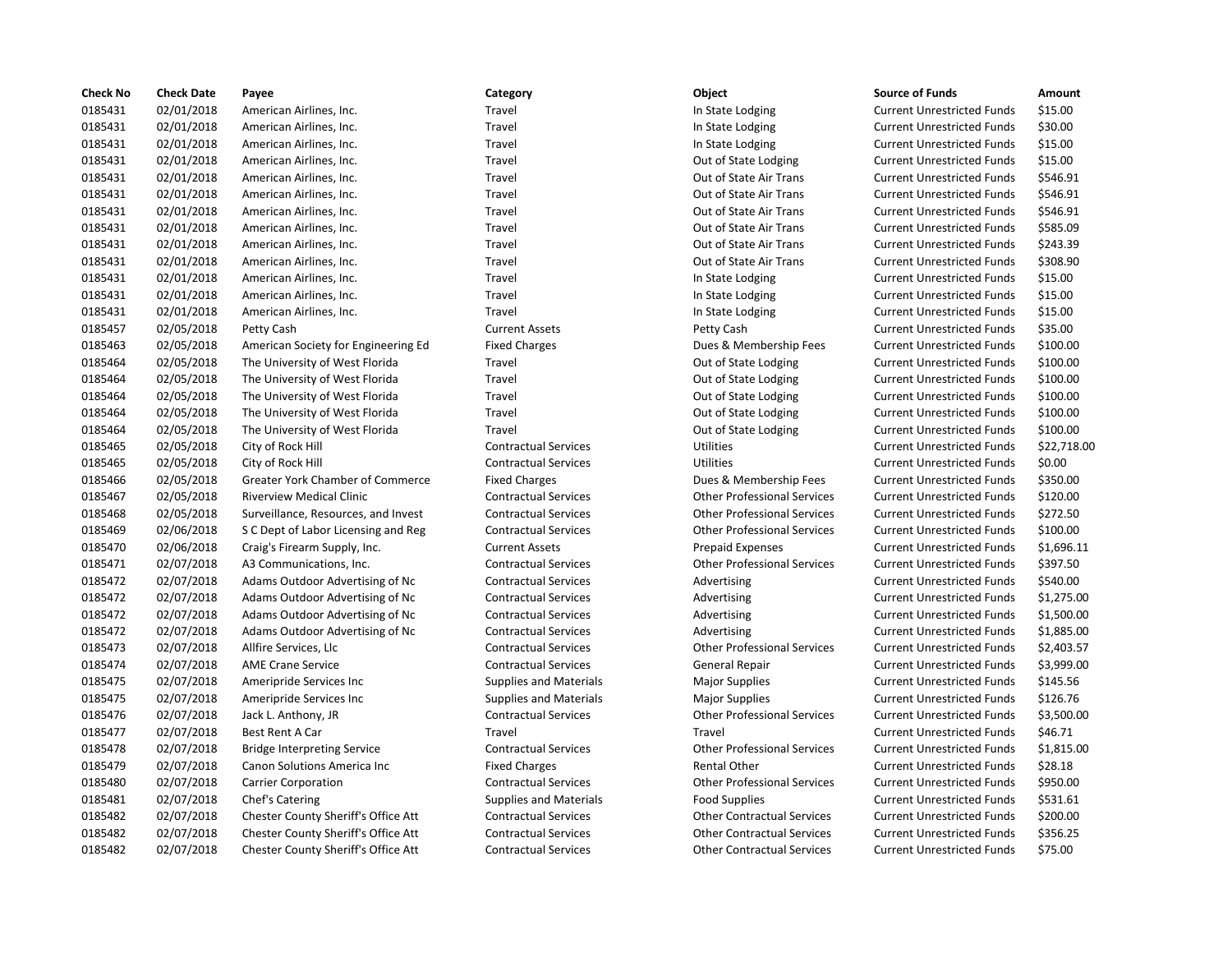| Check No | <b>Check Date</b> | Payee                                   | Category                      | Object                             | <b>Source of Funds</b>            | Amount    |
|----------|-------------------|-----------------------------------------|-------------------------------|------------------------------------|-----------------------------------|-----------|
| 0185431  | 02/01/2018        | American Airlines, Inc.                 | Travel                        | In State Lodging                   | <b>Current Unrestricted Funds</b> | \$15.00   |
| 0185431  | 02/01/2018        | American Airlines, Inc.                 | Travel                        | In State Lodging                   | <b>Current Unrestricted Funds</b> | \$30.00   |
| 0185431  | 02/01/2018        | American Airlines, Inc.                 | Travel                        | In State Lodging                   | <b>Current Unrestricted Funds</b> | \$15.00   |
| 0185431  | 02/01/2018        | American Airlines, Inc.                 | Travel                        | Out of State Lodging               | <b>Current Unrestricted Funds</b> | \$15.00   |
| 0185431  | 02/01/2018        | American Airlines, Inc.                 | Travel                        | Out of State Air Trans             | <b>Current Unrestricted Funds</b> | \$546.91  |
| 0185431  | 02/01/2018        | American Airlines, Inc.                 | Travel                        | Out of State Air Trans             | <b>Current Unrestricted Funds</b> | \$546.91  |
| 0185431  | 02/01/2018        | American Airlines, Inc.                 | Travel                        | Out of State Air Trans             | <b>Current Unrestricted Funds</b> | \$546.91  |
| 0185431  | 02/01/2018        | American Airlines, Inc.                 | Travel                        | Out of State Air Trans             | <b>Current Unrestricted Funds</b> | \$585.09  |
| 0185431  | 02/01/2018        | American Airlines, Inc.                 | Travel                        | Out of State Air Trans             | <b>Current Unrestricted Funds</b> | \$243.39  |
| 0185431  | 02/01/2018        | American Airlines, Inc.                 | Travel                        | Out of State Air Trans             | <b>Current Unrestricted Funds</b> | \$308.90  |
| 0185431  | 02/01/2018        | American Airlines, Inc.                 | Travel                        | In State Lodging                   | <b>Current Unrestricted Funds</b> | \$15.00   |
| 0185431  | 02/01/2018        | American Airlines, Inc.                 | Travel                        | In State Lodging                   | <b>Current Unrestricted Funds</b> | \$15.00   |
| 0185431  | 02/01/2018        | American Airlines, Inc.                 | Travel                        | In State Lodging                   | <b>Current Unrestricted Funds</b> | \$15.00   |
| 0185457  | 02/05/2018        | Petty Cash                              | <b>Current Assets</b>         | Petty Cash                         | <b>Current Unrestricted Funds</b> | \$35.00   |
| 0185463  | 02/05/2018        | American Society for Engineering Ed     | <b>Fixed Charges</b>          | Dues & Membership Fees             | <b>Current Unrestricted Funds</b> | \$100.00  |
| 0185464  | 02/05/2018        | The University of West Florida          | Travel                        | Out of State Lodging               | <b>Current Unrestricted Funds</b> | \$100.00  |
| 0185464  | 02/05/2018        | The University of West Florida          | Travel                        | Out of State Lodging               | <b>Current Unrestricted Funds</b> | \$100.00  |
| 0185464  | 02/05/2018        | The University of West Florida          | Travel                        | Out of State Lodging               | <b>Current Unrestricted Funds</b> | \$100.00  |
| 0185464  | 02/05/2018        | The University of West Florida          | Travel                        | Out of State Lodging               | <b>Current Unrestricted Funds</b> | \$100.00  |
| 0185464  | 02/05/2018        | The University of West Florida          | Travel                        | Out of State Lodging               | <b>Current Unrestricted Funds</b> | \$100.00  |
| 0185465  | 02/05/2018        | City of Rock Hill                       | <b>Contractual Services</b>   | <b>Utilities</b>                   | <b>Current Unrestricted Funds</b> | \$22,718  |
| 0185465  | 02/05/2018        | City of Rock Hill                       | <b>Contractual Services</b>   | <b>Utilities</b>                   | <b>Current Unrestricted Funds</b> | \$0.00    |
| 0185466  | 02/05/2018        | <b>Greater York Chamber of Commerce</b> | <b>Fixed Charges</b>          | Dues & Membership Fees             | <b>Current Unrestricted Funds</b> | \$350.00  |
| 0185467  | 02/05/2018        | <b>Riverview Medical Clinic</b>         | <b>Contractual Services</b>   | <b>Other Professional Services</b> | <b>Current Unrestricted Funds</b> | \$120.00  |
| 0185468  | 02/05/2018        | Surveillance, Resources, and Invest     | <b>Contractual Services</b>   | <b>Other Professional Services</b> | <b>Current Unrestricted Funds</b> | \$272.50  |
| 0185469  | 02/06/2018        | S C Dept of Labor Licensing and Reg     | <b>Contractual Services</b>   | <b>Other Professional Services</b> | <b>Current Unrestricted Funds</b> | \$100.00  |
| 0185470  | 02/06/2018        | Craig's Firearm Supply, Inc.            | <b>Current Assets</b>         | <b>Prepaid Expenses</b>            | <b>Current Unrestricted Funds</b> | \$1,696.1 |
| 0185471  | 02/07/2018        | A3 Communications, Inc.                 | <b>Contractual Services</b>   | <b>Other Professional Services</b> | <b>Current Unrestricted Funds</b> | \$397.50  |
| 0185472  | 02/07/2018        | Adams Outdoor Advertising of Nc         | <b>Contractual Services</b>   | Advertising                        | <b>Current Unrestricted Funds</b> | \$540.00  |
| 0185472  | 02/07/2018        | Adams Outdoor Advertising of Nc         | <b>Contractual Services</b>   | Advertising                        | <b>Current Unrestricted Funds</b> | \$1,275.0 |
| 0185472  | 02/07/2018        | Adams Outdoor Advertising of Nc         | <b>Contractual Services</b>   | Advertising                        | <b>Current Unrestricted Funds</b> | \$1,500.0 |
| 0185472  | 02/07/2018        | Adams Outdoor Advertising of Nc         | <b>Contractual Services</b>   | Advertising                        | <b>Current Unrestricted Funds</b> | \$1,885.0 |
| 0185473  | 02/07/2018        | Allfire Services, Llc                   | <b>Contractual Services</b>   | <b>Other Professional Services</b> | <b>Current Unrestricted Funds</b> | \$2,403.5 |
| 0185474  | 02/07/2018        | <b>AME Crane Service</b>                | <b>Contractual Services</b>   | General Repair                     | <b>Current Unrestricted Funds</b> | \$3,999.0 |
| 0185475  | 02/07/2018        | Ameripride Services Inc                 | <b>Supplies and Materials</b> | <b>Major Supplies</b>              | <b>Current Unrestricted Funds</b> | \$145.56  |
| 0185475  | 02/07/2018        | Ameripride Services Inc                 | Supplies and Materials        | <b>Major Supplies</b>              | <b>Current Unrestricted Funds</b> | \$126.76  |
| 0185476  | 02/07/2018        | Jack L. Anthony, JR                     | <b>Contractual Services</b>   | <b>Other Professional Services</b> | <b>Current Unrestricted Funds</b> | \$3,500.0 |
| 0185477  | 02/07/2018        | Best Rent A Car                         | Travel                        | Travel                             | <b>Current Unrestricted Funds</b> | \$46.71   |
| 0185478  | 02/07/2018        | <b>Bridge Interpreting Service</b>      | <b>Contractual Services</b>   | <b>Other Professional Services</b> | <b>Current Unrestricted Funds</b> | \$1,815.0 |
| 0185479  | 02/07/2018        | Canon Solutions America Inc             | <b>Fixed Charges</b>          | <b>Rental Other</b>                | <b>Current Unrestricted Funds</b> | \$28.18   |
| 0185480  | 02/07/2018        | <b>Carrier Corporation</b>              | <b>Contractual Services</b>   | <b>Other Professional Services</b> | <b>Current Unrestricted Funds</b> | \$950.00  |
| 0185481  | 02/07/2018        | Chef's Catering                         | <b>Supplies and Materials</b> | <b>Food Supplies</b>               | <b>Current Unrestricted Funds</b> | \$531.61  |
| 0185482  | 02/07/2018        | Chester County Sheriff's Office Att     | <b>Contractual Services</b>   | <b>Other Contractual Services</b>  | <b>Current Unrestricted Funds</b> | \$200.00  |
| 0185482  | 02/07/2018        | Chester County Sheriff's Office Att     | <b>Contractual Services</b>   | <b>Other Contractual Services</b>  | <b>Current Unrestricted Funds</b> | \$356.25  |
| 0185482  | 02/07/2018        | Chester County Sheriff's Office Att     | <b>Contractual Services</b>   | <b>Other Contractual Services</b>  | <b>Current Unrestricted Funds</b> | \$75.00   |
|          |                   |                                         |                               |                                    |                                   |           |

# 0185431 02/01/2018 American Airlines, Inc. Travel In State Lodging Current Unrestricted Funds \$15.00 0185431 02/01/2018 American Airlines, Inc. Travel In State Lodging Current Unrestricted Funds \$30.00 0185431 02/01/2018 American Airlines, Inc. Travel In State Lodging Current Unrestricted Funds \$15.00 Travel **1201 1201** Out of State Lodging Current Unrestricted Funds \$15.00 Travel **2018** 2018 Out of State Air Trans Current Unrestricted Funds 5546.91 Travel **1201 1201 1201 02018 American Airlines, Inc. Network** Current Unrestricted Funds \$546.91 Travel **2018** 2018 Out of State Air Trans Current Unrestricted Funds 5546.91 Travel **1864** Out of State Air Trans Current Unrestricted Funds \$585.09 Travel **1864** 2018 **CULL AIRLINES AIRLINES And Alle Current Unrestricted Funds 5243.39** Travel **1864** Cut of State Air Trans Current Unrestricted Funds 5308.90 Travel **1201 1201 12018 American Airlines, Inc. 2018 American Airlines, Inc. 2018 American Airlines, Inc. Airlines, Inc. Airlines, Inc. 2019 Muscular Airlines, Inc. 2019 Muscular Airlines, Inc. 2019 Muscular Airlines, Inc.** Travel **1201 12018 American Airlines, Inc. 2018 American Airlines, Inc. 12018 American Airlines, Inc. 2019** Current Unrestricted Funds \$15.00 0185431 02/01/2018 American Airlines, Inc. Travel In State Lodging Current Unrestricted Funds \$15.00 0185457 02/05/2018 Petty Cash Current Assets Petty Cash Current Unrestricted Funds \$35.00 d
Times American Society Fixed Charges

The Corrent Unrestricted Funds
in State State State State Europe Current Unrestricted Funds

State State State State State State State State State State State State State State State Travel **12018 12/05/2018 Travel Current Unrestricted Funds** 5100.00 Travel **12018 12018 Travel Current University Current Unrestricted Funds** 5100.00 Travel **12018 12/05/2018 Travel Current Unrestricted Funds** 5100.00 Travel **1864** Out of State Lodging Current Unrestricted Funds \$100.00 Travel **12018 12/04 Travel Current University Current Unrestricted Funds** 5100.00 Contractual Services **Cultum** Utilities Current Unrestricted Funds \$22,718.00 0185465 02/05/2018 City of Rock Hill Contractual Services Utilities Current Unrestricted Funds \$0.00 0185466 02/05/2018 Greater York Chamber of Commerce Fixed Charges Dues & Membership Fees Current Unrestricted Funds \$350.00 0185467 02/05/2018 Riverview Medical Clinic Contractual Services Other Professional Services Current Unrestricted Funds \$120.00 Contractual Services **Contractual Services** Other Professional Services Current Unrestricted Funds \$272.50 Contractual Services **Current Other Professional Services** Current Unrestricted Funds \$100.00 Ourrent Assets **Current Assets Expenses** Current Unrestricted Funds \$1,696.11 Contractual Services **Current Unrestricted Funds** 5397.50 Contractual Services **CONCOLL ADAMS Advertising CONTRACT CONTRACT ADVERTISING** Current Unrestricted Funds \$540.00 Ontractual Services **Contractual Services Current Unrestricted Funds** \$1,275.00 Ontractual Services **Current Current Current Unrestricted Funds** \$1,500.00 Contractual Services **Current Current Current Unrestricted Funds** \$1,885.00 0185473 02/07/2018 Allfire Services, Llc Contractual Services Other Professional Services Current Unrestricted Funds \$2,403.57 0185474 02/07/2018 AME Crane Service Contractual Services General Repair Current Unrestricted Funds \$3,999.00 Supplies and Materials **Current Unrestricted Funds** 5145.56 0185475 02/07/2018 Ameripride Services Inc Supplies and Materials Major Supplies Current Unrestricted Funds \$126.76 Contractual Services **CULC CONTROV** Other Professional Services Current Unrestricted Funds \$3,500.00 Travel **1202** 1218 Travel **Current Unrestricted Funds** \$46.71 0185478 02/07/2018 Bridge Interpreting Service Contractual Services Other Professional Services Current Unrestricted Funds \$1,815.00 Fixed Charges **1278 12018 Canon Solutions America** Inc. Fixed Charges **Rental Other Current Unrestricted Funds** \$28.18 0185480 02/07/2018 Carrier Corporation Contractual Services Other Professional Services Current Unrestricted Funds \$950.00 Supplies and Materials **Example Supplies** Food Supplies **Current Unrestricted Funds** \$531.61 Contractual Services **Contractual Service Att Contractual Services** Current Unrestricted Funds \$200.00 Contractual Services **Contractual Service Att Contractual Services** Current Unrestricted Funds \$356.25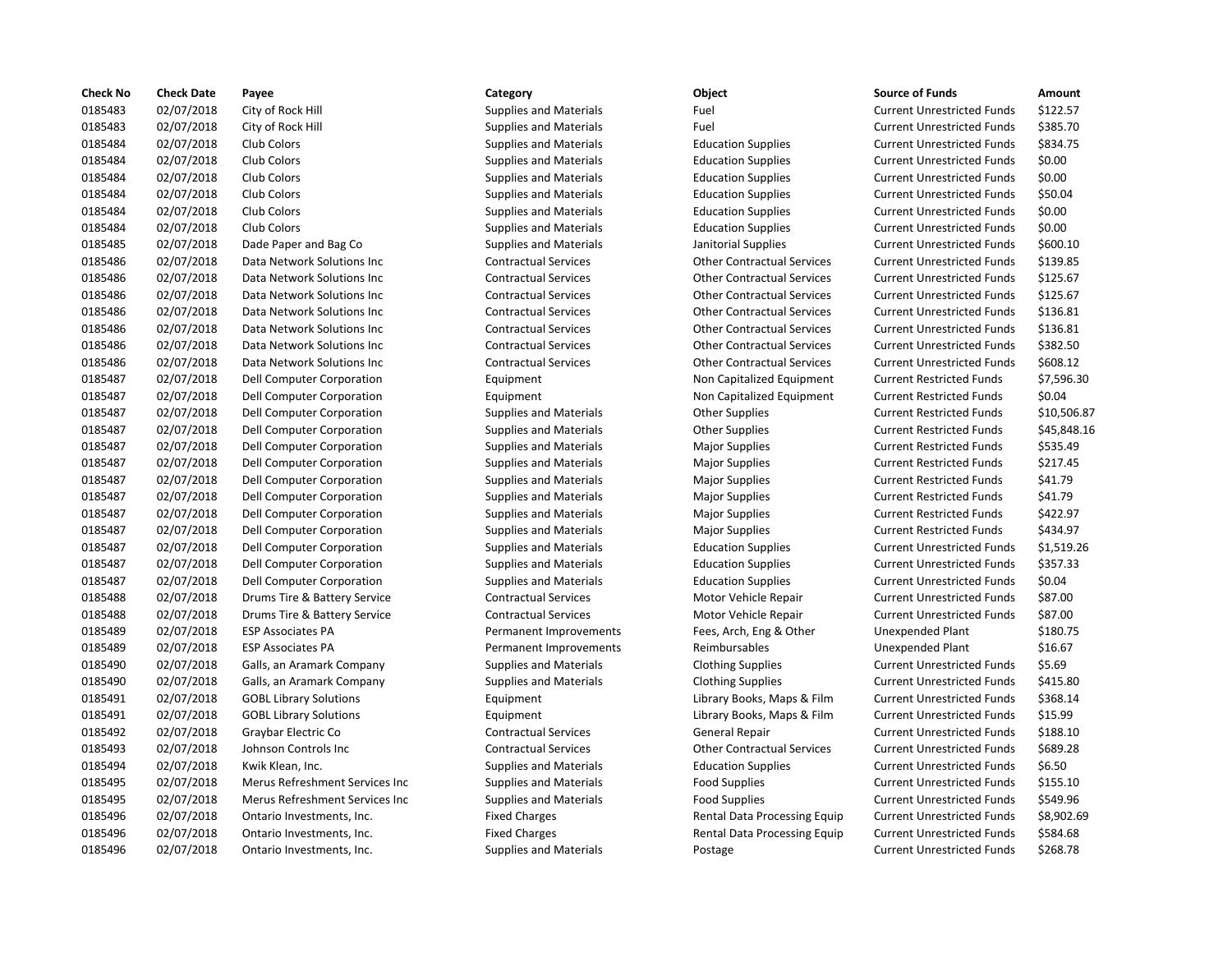| <b>Check No</b> | <b>Check Date</b> | Payee                          | Category                      | Object                            | <b>Source of Funds</b>            | Amount    |
|-----------------|-------------------|--------------------------------|-------------------------------|-----------------------------------|-----------------------------------|-----------|
| 0185483         | 02/07/2018        | City of Rock Hill              | <b>Supplies and Materials</b> | Fuel                              | <b>Current Unrestricted Funds</b> | \$122.57  |
| 0185483         | 02/07/2018        | City of Rock Hill              | <b>Supplies and Materials</b> | Fuel                              | <b>Current Unrestricted Funds</b> | \$385.70  |
| 0185484         | 02/07/2018        | Club Colors                    | <b>Supplies and Materials</b> | <b>Education Supplies</b>         | <b>Current Unrestricted Funds</b> | \$834.75  |
| 0185484         | 02/07/2018        | Club Colors                    | <b>Supplies and Materials</b> | <b>Education Supplies</b>         | <b>Current Unrestricted Funds</b> | \$0.00    |
| 0185484         | 02/07/2018        | Club Colors                    | <b>Supplies and Materials</b> | <b>Education Supplies</b>         | <b>Current Unrestricted Funds</b> | \$0.00    |
| 0185484         | 02/07/2018        | Club Colors                    | <b>Supplies and Materials</b> | <b>Education Supplies</b>         | <b>Current Unrestricted Funds</b> | \$50.04   |
| 0185484         | 02/07/2018        | Club Colors                    | <b>Supplies and Materials</b> | <b>Education Supplies</b>         | <b>Current Unrestricted Funds</b> | \$0.00    |
| 0185484         | 02/07/2018        | Club Colors                    | <b>Supplies and Materials</b> | <b>Education Supplies</b>         | <b>Current Unrestricted Funds</b> | \$0.00    |
| 0185485         | 02/07/2018        | Dade Paper and Bag Co          | <b>Supplies and Materials</b> | Janitorial Supplies               | <b>Current Unrestricted Funds</b> | \$600.10  |
| 0185486         | 02/07/2018        | Data Network Solutions Inc     | <b>Contractual Services</b>   | <b>Other Contractual Services</b> | <b>Current Unrestricted Funds</b> | \$139.85  |
| 0185486         | 02/07/2018        | Data Network Solutions Inc     | <b>Contractual Services</b>   | <b>Other Contractual Services</b> | <b>Current Unrestricted Funds</b> | \$125.67  |
| 0185486         | 02/07/2018        | Data Network Solutions Inc     | <b>Contractual Services</b>   | <b>Other Contractual Services</b> | <b>Current Unrestricted Funds</b> | \$125.67  |
| 0185486         | 02/07/2018        | Data Network Solutions Inc     | <b>Contractual Services</b>   | <b>Other Contractual Services</b> | <b>Current Unrestricted Funds</b> | \$136.81  |
| 0185486         | 02/07/2018        | Data Network Solutions Inc     | <b>Contractual Services</b>   | <b>Other Contractual Services</b> | <b>Current Unrestricted Funds</b> | \$136.81  |
| 0185486         | 02/07/2018        | Data Network Solutions Inc     | <b>Contractual Services</b>   | <b>Other Contractual Services</b> | <b>Current Unrestricted Funds</b> | \$382.50  |
| 0185486         | 02/07/2018        | Data Network Solutions Inc     | <b>Contractual Services</b>   | <b>Other Contractual Services</b> | <b>Current Unrestricted Funds</b> | \$608.12  |
| 0185487         | 02/07/2018        | Dell Computer Corporation      | Equipment                     | Non Capitalized Equipment         | <b>Current Restricted Funds</b>   | \$7,596.3 |
| 0185487         | 02/07/2018        | Dell Computer Corporation      | Equipment                     | Non Capitalized Equipment         | <b>Current Restricted Funds</b>   | \$0.04    |
| 0185487         | 02/07/2018        | Dell Computer Corporation      | <b>Supplies and Materials</b> | <b>Other Supplies</b>             | <b>Current Restricted Funds</b>   | \$10,506  |
| 0185487         | 02/07/2018        | Dell Computer Corporation      | Supplies and Materials        | <b>Other Supplies</b>             | <b>Current Restricted Funds</b>   | \$45,848  |
| 0185487         | 02/07/2018        | Dell Computer Corporation      | <b>Supplies and Materials</b> | <b>Major Supplies</b>             | <b>Current Restricted Funds</b>   | \$535.49  |
| 0185487         | 02/07/2018        | Dell Computer Corporation      | <b>Supplies and Materials</b> | <b>Major Supplies</b>             | <b>Current Restricted Funds</b>   | \$217.45  |
| 0185487         | 02/07/2018        | Dell Computer Corporation      | <b>Supplies and Materials</b> | <b>Major Supplies</b>             | <b>Current Restricted Funds</b>   | \$41.79   |
| 0185487         | 02/07/2018        | Dell Computer Corporation      | <b>Supplies and Materials</b> | <b>Major Supplies</b>             | <b>Current Restricted Funds</b>   | \$41.79   |
| 0185487         | 02/07/2018        | Dell Computer Corporation      | <b>Supplies and Materials</b> | <b>Major Supplies</b>             | <b>Current Restricted Funds</b>   | \$422.97  |
| 0185487         | 02/07/2018        | Dell Computer Corporation      | <b>Supplies and Materials</b> | <b>Major Supplies</b>             | <b>Current Restricted Funds</b>   | \$434.97  |
| 0185487         | 02/07/2018        | Dell Computer Corporation      | <b>Supplies and Materials</b> | <b>Education Supplies</b>         | <b>Current Unrestricted Funds</b> | \$1,519.2 |
| 0185487         | 02/07/2018        | Dell Computer Corporation      | <b>Supplies and Materials</b> | <b>Education Supplies</b>         | <b>Current Unrestricted Funds</b> | \$357.33  |
| 0185487         | 02/07/2018        | Dell Computer Corporation      | <b>Supplies and Materials</b> | <b>Education Supplies</b>         | <b>Current Unrestricted Funds</b> | \$0.04    |
| 0185488         | 02/07/2018        | Drums Tire & Battery Service   | <b>Contractual Services</b>   | Motor Vehicle Repair              | <b>Current Unrestricted Funds</b> | \$87.00   |
| 0185488         | 02/07/2018        | Drums Tire & Battery Service   | <b>Contractual Services</b>   | Motor Vehicle Repair              | <b>Current Unrestricted Funds</b> | \$87.00   |
| 0185489         | 02/07/2018        | <b>ESP Associates PA</b>       | Permanent Improvements        | Fees, Arch, Eng & Other           | Unexpended Plant                  | \$180.75  |
| 0185489         | 02/07/2018        | <b>ESP Associates PA</b>       | Permanent Improvements        | Reimbursables                     | Unexpended Plant                  | \$16.67   |
| 0185490         | 02/07/2018        | Galls, an Aramark Company      | <b>Supplies and Materials</b> | <b>Clothing Supplies</b>          | <b>Current Unrestricted Funds</b> | \$5.69    |
| 0185490         | 02/07/2018        | Galls, an Aramark Company      | <b>Supplies and Materials</b> | <b>Clothing Supplies</b>          | <b>Current Unrestricted Funds</b> | \$415.80  |
| 0185491         | 02/07/2018        | <b>GOBL Library Solutions</b>  | Equipment                     | Library Books, Maps & Film        | <b>Current Unrestricted Funds</b> | \$368.14  |
| 0185491         | 02/07/2018        | <b>GOBL Library Solutions</b>  | Equipment                     | Library Books, Maps & Film        | <b>Current Unrestricted Funds</b> | \$15.99   |
| 0185492         | 02/07/2018        | Graybar Electric Co            | <b>Contractual Services</b>   | General Repair                    | <b>Current Unrestricted Funds</b> | \$188.10  |
| 0185493         | 02/07/2018        | Johnson Controls Inc           | <b>Contractual Services</b>   | <b>Other Contractual Services</b> | <b>Current Unrestricted Funds</b> | \$689.28  |
| 0185494         | 02/07/2018        | Kwik Klean, Inc.               | <b>Supplies and Materials</b> | <b>Education Supplies</b>         | <b>Current Unrestricted Funds</b> | \$6.50    |
| 0185495         | 02/07/2018        | Merus Refreshment Services Inc | <b>Supplies and Materials</b> | <b>Food Supplies</b>              | <b>Current Unrestricted Funds</b> | \$155.10  |
| 0185495         | 02/07/2018        | Merus Refreshment Services Inc | <b>Supplies and Materials</b> | <b>Food Supplies</b>              | <b>Current Unrestricted Funds</b> | \$549.96  |
| 0185496         | 02/07/2018        | Ontario Investments, Inc.      | <b>Fixed Charges</b>          | Rental Data Processing Equip      | <b>Current Unrestricted Funds</b> | \$8,902.6 |
| 0185496         | 02/07/2018        | Ontario Investments, Inc.      | <b>Fixed Charges</b>          | Rental Data Processing Equip      | <b>Current Unrestricted Funds</b> | \$584.68  |
| 0185496         | 02/07/2018        | Ontario Investments Inc.       | <b>Supplies and Materials</b> | Postage                           | Current Unrestricted Funds        | \$268.78  |

# 0185483 02/07/2018 City of Rock Hill Supplies and Materials Fuel Current Unrestricted Funds \$122.57 0185483 02/07/2018 City of Rock Hill Supplies and Materials Fuel Current Unrestricted Funds \$385.70 0185484 02/07/2018 Club Colors Supplies and Materials Education Supplies Current Unrestricted Funds \$834.75 0185484 02/07/2018 Club Colors Supplies and Materials Education Supplies Current Unrestricted Funds \$0.00 0185484 02/07/2018 Club Colors Supplies and Materials Education Supplies Current Unrestricted Funds \$0.00 0185484 02/07/2018 Club Colors Supplies and Materials Education Supplies Current Unrestricted Funds \$50.04 0185484 02/07/2018 Club Colors Supplies and Materials Education Supplies Current Unrestricted Funds \$0.00 0185484 02/07/2018 Club Colors Supplies and Materials Education Supplies Current Unrestricted Funds \$0.00 0185485 02/07/2018 Dade Paper and Bag Co Supplies and Materials Janitorial Supplies Current Unrestricted Funds \$600.10 0185486 02/07/2018 Data Network Solutions Inc Contractual Services Other Contractual Services Current Unrestricted Funds \$139.85 nc Contractual Services Contractual Services Other Contractual Services Current Unrestricted Funds \$125.67 nc Contractual Services Contractual Services Other Contractual Services Current Unrestricted Funds \$125.67 nc Contractual Services Contractual Services Other Contractual Services Current Unrestricted Funds \$136.81 nc Contractual Services Contractual Services Other Contractual Services Current Unrestricted Funds \$136.81 nc and Contractual Services Contractual Services Other Contractual Services Current Unrestricted Funds \$382.50 nc Contractual Services Contractual Services Other Contractual Services Current Unrestricted Funds \$608.12 0185487 02/07/2018 Dell Computer Corporation Equipment Non Capitalized Equipment Current Restricted Funds \$7,596.30 0185487 02/07/2018 Deli Computer Computer Corporation Equipment Current Restricted Funds \$0.04 on Supplies and Materials **Computer Computer Computer Contract** Current Restricted Funds 510,506.87 on Supplies and Materials **Current Restricted Funds** Supplies **Current Restricted Funds** 545,848.16 on Supplies and Materials **1988 Computer Computer Corporation Supplies** Current Restricted Funds 5535.49 on Supplies and Materials **Computer Computer Computer Contraction Supplies** Current Restricted Funds 5217.45 on Supplies and Materials **Computer Computer Construct Current Restricted Funds** 541.79 on Supplies and Materials **Computer Computer Control** Current Restricted Funds and Supplies Major Supplies Current Restricted Funds 5422.97 on Supplies and Materials **Computer Computer Computer Contraction Supplies** Current Restricted Funds 5434.97 on Supplies and Materials **Education Supplies** Current Unrestricted Funds \$1,519.26 on and Supplies and Materials **Education Supplies Current Unrestricted Funds** 5357.33 on Supplies and Materials **Supplies and Materials Computer Contain** Education Supplies Current Unrestricted Funds \$0.04 0185488 02/07/2018 Drums Tire & Battery Service Contractual Services Motor Vehicle Repair Current Unrestricted Funds \$87.00 0185488 02/07/2018 Drums Tire & Battery Service Contractual Services Motor Vehicle Repair Current Unrestricted Funds \$87.00 Permanent Improvements Fees, Arch, Eng & Other Unexpended Plant \$180.75 Permanent Improvements **Reimbursables** Bermanent Improvements Reimbursables Unexpended Plant \$16.67 ny Supplies and Materials Clothing Supplies and Materials Current Unrestricted Funds \$5.69 ny Supplies and Materials Clothing Supplies Current Unrestricted Funds \$415.80 0185491 02/07/2018 GOBL Library Solutions Equipment Library Books, Maps & Film Current Unrestricted Funds \$368.14 0185491 02/07/2018 GOBL Library Solutions Equipment Library Books, Maps & Film Current Unrestricted Funds \$15.99 0185492 02/07/2018 Graybar Electric Co Contractual Services General Repair Current Unrestricted Funds \$188.10 Contractual Services **1889.28** Other Contractual Services Current Unrestricted Funds \$689.28 0185494 02/07/2018 Kwik Klean, Inc. Supplies and Materials Education Supplies Current Unrestricted Funds \$6.50 ices Inc Supplies and Materials **Food Supplies** Food Supplies Current Unrestricted Funds \$155.10 0185495 02/07/2018 Merus Refreshment Services Inc Supplies and Materials Food Supplies Current Unrestricted Funds \$549.96 Fixed Charges **1.2018 Inc. Processing Equip** Current Unrestricted Funds \$8,902.69 Fixed Charges **Charges Charges Example 2018** Rental Data Processing Equip Current Unrestricted Funds \$584.68 2/07/2018 Ontario Investments, Inc. The Supplies and Materials Postage Postage Current Unrestricted Funds \$268.78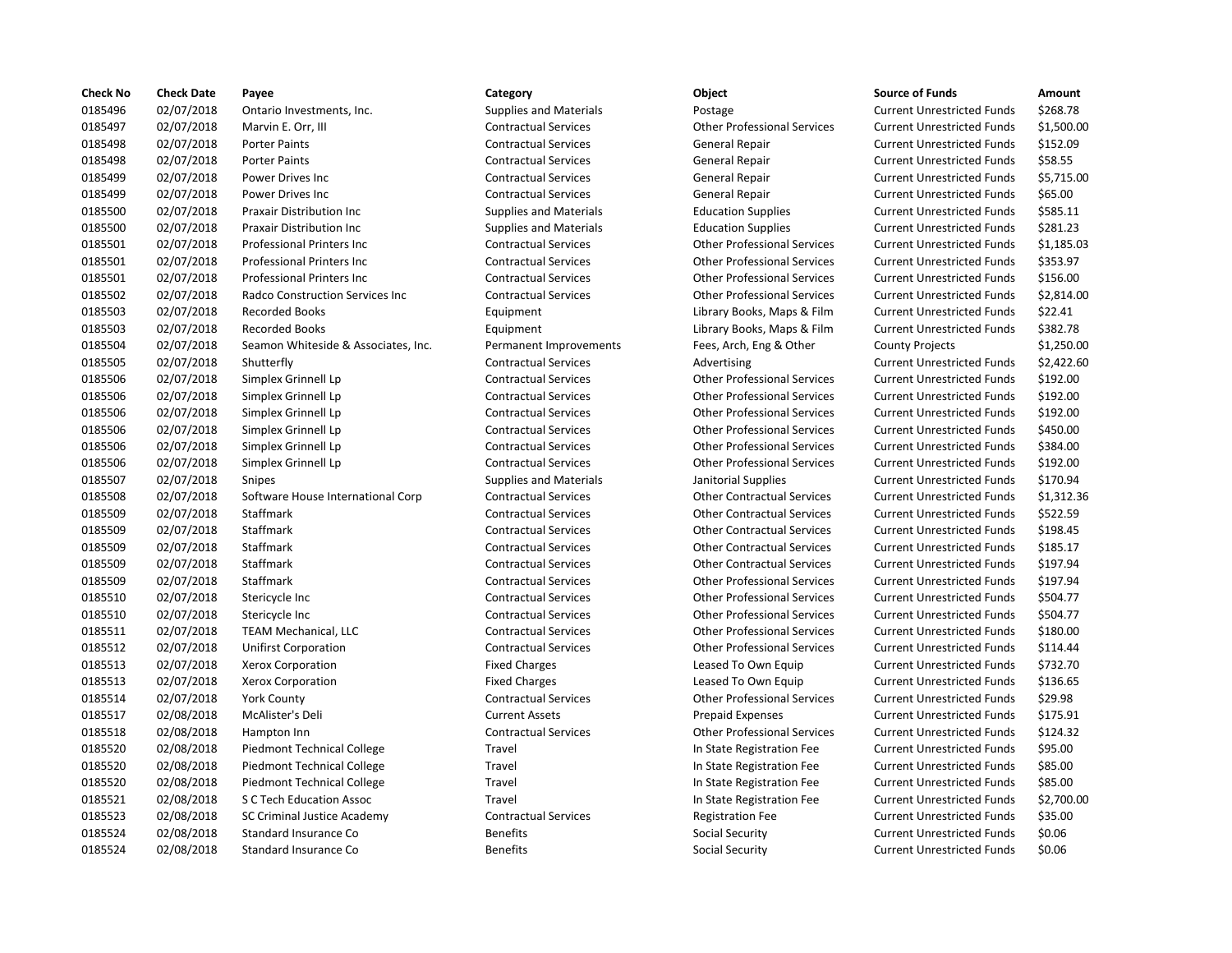| <b>Check No</b> | <b>Check Date</b> | Payee                                  | Category                      | Object                             | <b>Source of Funds</b>            | Amount    |
|-----------------|-------------------|----------------------------------------|-------------------------------|------------------------------------|-----------------------------------|-----------|
| 0185496         | 02/07/2018        | Ontario Investments, Inc.              | <b>Supplies and Materials</b> | Postage                            | <b>Current Unrestricted Funds</b> | \$268.78  |
| 0185497         | 02/07/2018        | Marvin E. Orr, III                     | <b>Contractual Services</b>   | <b>Other Professional Services</b> | <b>Current Unrestricted Funds</b> | \$1,500.0 |
| 0185498         | 02/07/2018        | <b>Porter Paints</b>                   | <b>Contractual Services</b>   | General Repair                     | <b>Current Unrestricted Funds</b> | \$152.09  |
| 0185498         | 02/07/2018        | <b>Porter Paints</b>                   | <b>Contractual Services</b>   | General Repair                     | <b>Current Unrestricted Funds</b> | \$58.55   |
| 0185499         | 02/07/2018        | Power Drives Inc                       | <b>Contractual Services</b>   | General Repair                     | <b>Current Unrestricted Funds</b> | \$5,715.0 |
| 0185499         | 02/07/2018        | Power Drives Inc                       | <b>Contractual Services</b>   | General Repair                     | <b>Current Unrestricted Funds</b> | \$65.00   |
| 0185500         | 02/07/2018        | Praxair Distribution Inc               | <b>Supplies and Materials</b> | <b>Education Supplies</b>          | <b>Current Unrestricted Funds</b> | \$585.11  |
| 0185500         | 02/07/2018        | Praxair Distribution Inc               | Supplies and Materials        | <b>Education Supplies</b>          | <b>Current Unrestricted Funds</b> | \$281.23  |
| 0185501         | 02/07/2018        | <b>Professional Printers Inc.</b>      | <b>Contractual Services</b>   | <b>Other Professional Services</b> | <b>Current Unrestricted Funds</b> | \$1.185.0 |
| 0185501         | 02/07/2018        | Professional Printers Inc              | <b>Contractual Services</b>   | <b>Other Professional Services</b> | <b>Current Unrestricted Funds</b> | \$353.97  |
| 0185501         | 02/07/2018        | Professional Printers Inc              | <b>Contractual Services</b>   | <b>Other Professional Services</b> | <b>Current Unrestricted Funds</b> | \$156.00  |
| 0185502         | 02/07/2018        | <b>Radco Construction Services Inc</b> | <b>Contractual Services</b>   | <b>Other Professional Services</b> | <b>Current Unrestricted Funds</b> | \$2,814.0 |
| 0185503         | 02/07/2018        | <b>Recorded Books</b>                  | Equipment                     | Library Books, Maps & Film         | <b>Current Unrestricted Funds</b> | \$22.41   |
| 0185503         | 02/07/2018        | <b>Recorded Books</b>                  | Equipment                     | Library Books, Maps & Film         | <b>Current Unrestricted Funds</b> | \$382.78  |
| 0185504         | 02/07/2018        | Seamon Whiteside & Associates, Inc.    | Permanent Improvements        | Fees, Arch, Eng & Other            | <b>County Projects</b>            | \$1,250.0 |
| 0185505         | 02/07/2018        | Shutterfly                             | <b>Contractual Services</b>   | Advertising                        | <b>Current Unrestricted Funds</b> | \$2,422.6 |
| 0185506         | 02/07/2018        | Simplex Grinnell Lp                    | <b>Contractual Services</b>   | <b>Other Professional Services</b> | <b>Current Unrestricted Funds</b> | \$192.00  |
| 0185506         | 02/07/2018        | Simplex Grinnell Lp                    | <b>Contractual Services</b>   | <b>Other Professional Services</b> | <b>Current Unrestricted Funds</b> | \$192.00  |
| 0185506         | 02/07/2018        | Simplex Grinnell Lp                    | <b>Contractual Services</b>   | <b>Other Professional Services</b> | <b>Current Unrestricted Funds</b> | \$192.00  |
| 0185506         | 02/07/2018        | Simplex Grinnell Lp                    | <b>Contractual Services</b>   | <b>Other Professional Services</b> | <b>Current Unrestricted Funds</b> | \$450.00  |
| 0185506         | 02/07/2018        | Simplex Grinnell Lp                    | <b>Contractual Services</b>   | <b>Other Professional Services</b> | <b>Current Unrestricted Funds</b> | \$384.00  |
| 0185506         | 02/07/2018        | Simplex Grinnell Lp                    | <b>Contractual Services</b>   | <b>Other Professional Services</b> | <b>Current Unrestricted Funds</b> | \$192.00  |
| 0185507         | 02/07/2018        | Snipes                                 | <b>Supplies and Materials</b> | Janitorial Supplies                | <b>Current Unrestricted Funds</b> | \$170.94  |
| 0185508         | 02/07/2018        | Software House International Corp      | <b>Contractual Services</b>   | <b>Other Contractual Services</b>  | <b>Current Unrestricted Funds</b> | \$1,312.3 |
| 0185509         | 02/07/2018        | Staffmark                              | <b>Contractual Services</b>   | <b>Other Contractual Services</b>  | <b>Current Unrestricted Funds</b> | \$522.59  |
| 0185509         | 02/07/2018        | Staffmark                              | <b>Contractual Services</b>   | <b>Other Contractual Services</b>  | <b>Current Unrestricted Funds</b> | \$198.45  |
| 0185509         | 02/07/2018        | Staffmark                              | <b>Contractual Services</b>   | <b>Other Contractual Services</b>  | <b>Current Unrestricted Funds</b> | \$185.17  |
| 0185509         | 02/07/2018        | Staffmark                              | <b>Contractual Services</b>   | <b>Other Contractual Services</b>  | <b>Current Unrestricted Funds</b> | \$197.94  |
| 0185509         | 02/07/2018        | Staffmark                              | <b>Contractual Services</b>   | <b>Other Professional Services</b> | <b>Current Unrestricted Funds</b> | \$197.94  |
| 0185510         | 02/07/2018        | Stericycle Inc                         | <b>Contractual Services</b>   | <b>Other Professional Services</b> | <b>Current Unrestricted Funds</b> | \$504.77  |
| 0185510         | 02/07/2018        | Stericycle Inc                         | <b>Contractual Services</b>   | <b>Other Professional Services</b> | <b>Current Unrestricted Funds</b> | \$504.77  |
| 0185511         | 02/07/2018        | <b>TEAM Mechanical, LLC</b>            | <b>Contractual Services</b>   | <b>Other Professional Services</b> | <b>Current Unrestricted Funds</b> | \$180.00  |
| 0185512         | 02/07/2018        | <b>Unifirst Corporation</b>            | <b>Contractual Services</b>   | <b>Other Professional Services</b> | <b>Current Unrestricted Funds</b> | \$114.44  |
| 0185513         | 02/07/2018        | Xerox Corporation                      | <b>Fixed Charges</b>          | Leased To Own Equip                | <b>Current Unrestricted Funds</b> | \$732.70  |
| 0185513         | 02/07/2018        | Xerox Corporation                      | <b>Fixed Charges</b>          | Leased To Own Equip                | <b>Current Unrestricted Funds</b> | \$136.65  |
| 0185514         | 02/07/2018        | <b>York County</b>                     | <b>Contractual Services</b>   | <b>Other Professional Services</b> | <b>Current Unrestricted Funds</b> | \$29.98   |
| 0185517         | 02/08/2018        | McAlister's Deli                       | <b>Current Assets</b>         | Prepaid Expenses                   | <b>Current Unrestricted Funds</b> | \$175.91  |
| 0185518         | 02/08/2018        | Hampton Inn                            | <b>Contractual Services</b>   | <b>Other Professional Services</b> | <b>Current Unrestricted Funds</b> | \$124.32  |
| 0185520         | 02/08/2018        | Piedmont Technical College             | Travel                        | In State Registration Fee          | <b>Current Unrestricted Funds</b> | \$95.00   |
| 0185520         | 02/08/2018        | Piedmont Technical College             | Travel                        | In State Registration Fee          | <b>Current Unrestricted Funds</b> | \$85.00   |
| 0185520         | 02/08/2018        | Piedmont Technical College             | Travel                        | In State Registration Fee          | <b>Current Unrestricted Funds</b> | \$85.00   |
| 0185521         | 02/08/2018        | S C Tech Education Assoc               | Travel                        | In State Registration Fee          | <b>Current Unrestricted Funds</b> | \$2,700.0 |
| 0185523         | 02/08/2018        | <b>SC Criminal Justice Academy</b>     | <b>Contractual Services</b>   | <b>Registration Fee</b>            | <b>Current Unrestricted Funds</b> | \$35.00   |
| 0185524         | 02/08/2018        | Standard Insurance Co                  | <b>Benefits</b>               | Social Security                    | <b>Current Unrestricted Funds</b> | \$0.06    |
| 0185524         | 02/08/2018        | Standard Insurance Co                  | <b>Benefits</b>               | Social Security                    | <b>Current Unrestricted Funds</b> | \$0.06    |

| ategory               |
|-----------------------|
| upplies and Materials |
| ontractual Services   |
| ontractual Services   |
| ontractual Services   |
| ontractual Services   |
| ontractual Services   |
| upplies and Materials |
| upplies and Materials |
| ontractual Services   |
| ontractual Services   |
| ontractual Services   |
| ontractual Services   |
| quipment              |
| quipment              |
| ermanent Improvemer   |
| ontractual Services   |
| ontractual Services   |
| ontractual Services   |
| ontractual Services   |
| ontractual Services   |
| ontractual Services   |
| ontractual Services   |
| upplies and Materials |
| ontractual Services   |
| ontractual Services   |
| ontractual Services   |
| ontractual Services   |
| ontractual Services   |
| ontractual Services   |
| ontractual Services   |
| ontractual Services   |
| ontractual Services   |
| ontractual Services   |
| ixed Charges          |
| ixed Charges          |
| ontractual Services   |
| urrent Assets         |
| ontractual Services   |
| ravel                 |
| ravel                 |
| ravel                 |
| ravel                 |
| ontractual Services   |
| enefits               |
| enefits               |
|                       |

| ۰,<br>M.<br>v<br>M.<br>۰.<br>۰.<br>×<br>om, |
|---------------------------------------------|
|---------------------------------------------|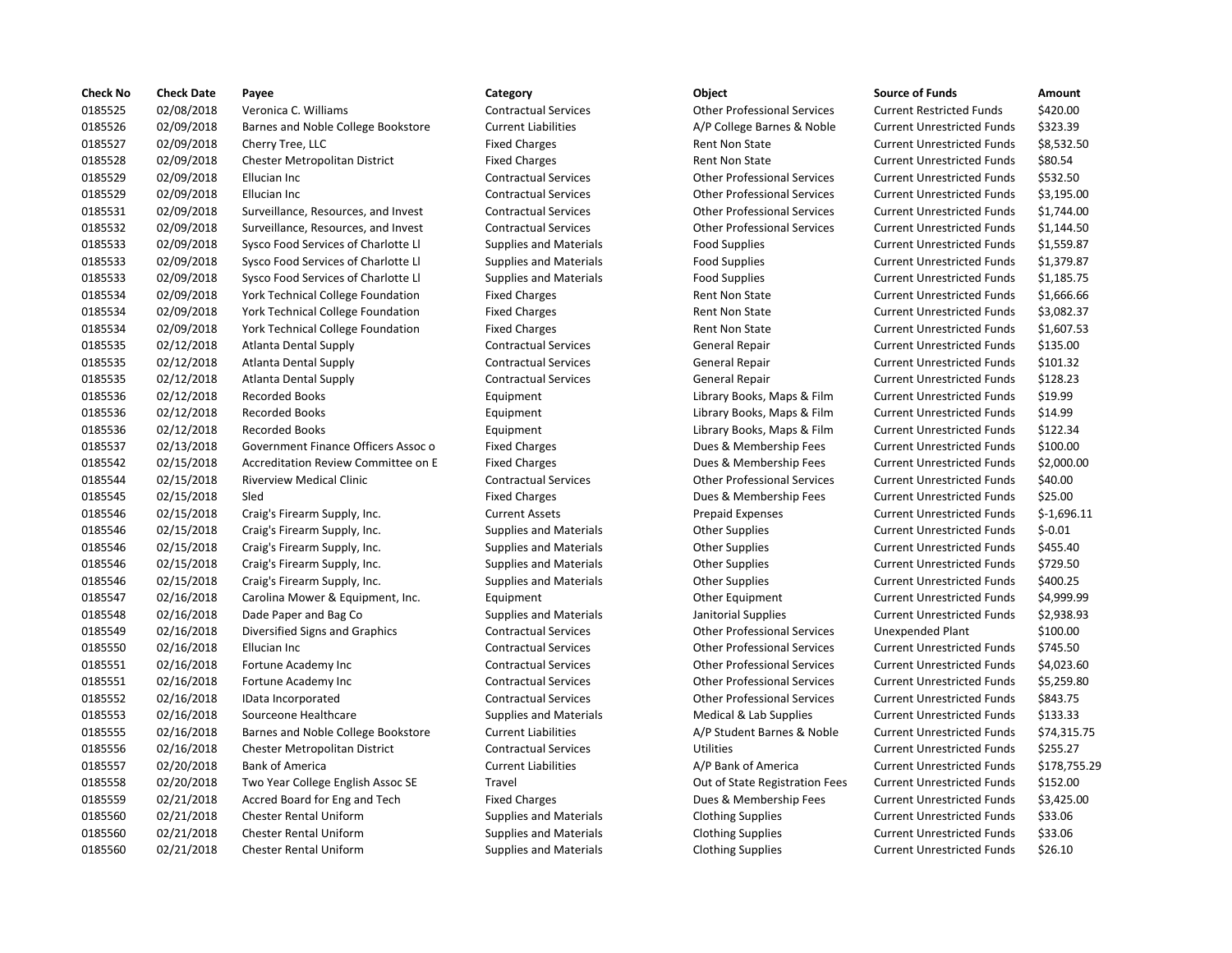| <b>Check No</b> | <b>Check Date</b> | Payee                               | Category                      | Object                             | <b>Source of Funds</b>            | Amount     |
|-----------------|-------------------|-------------------------------------|-------------------------------|------------------------------------|-----------------------------------|------------|
| 0185525         | 02/08/2018        | Veronica C. Williams                | <b>Contractual Services</b>   | <b>Other Professional Services</b> | <b>Current Restricted Funds</b>   | \$420.00   |
| 0185526         | 02/09/2018        | Barnes and Noble College Bookstore  | <b>Current Liabilities</b>    | A/P College Barnes & Noble         | <b>Current Unrestricted Funds</b> | \$323.39   |
| 0185527         | 02/09/2018        | Cherry Tree, LLC                    | <b>Fixed Charges</b>          | Rent Non State                     | <b>Current Unrestricted Funds</b> | \$8,532.5  |
| 0185528         | 02/09/2018        | Chester Metropolitan District       | <b>Fixed Charges</b>          | <b>Rent Non State</b>              | <b>Current Unrestricted Funds</b> | \$80.54    |
| 0185529         | 02/09/2018        | Ellucian Inc                        | <b>Contractual Services</b>   | <b>Other Professional Services</b> | <b>Current Unrestricted Funds</b> | \$532.50   |
| 0185529         | 02/09/2018        | Ellucian Inc                        | <b>Contractual Services</b>   | <b>Other Professional Services</b> | <b>Current Unrestricted Funds</b> | \$3,195.0  |
| 0185531         | 02/09/2018        | Surveillance, Resources, and Invest | <b>Contractual Services</b>   | <b>Other Professional Services</b> | <b>Current Unrestricted Funds</b> | \$1,744.0  |
| 0185532         | 02/09/2018        | Surveillance, Resources, and Invest | <b>Contractual Services</b>   | <b>Other Professional Services</b> | <b>Current Unrestricted Funds</b> | \$1,144.5  |
| 0185533         | 02/09/2018        | Sysco Food Services of Charlotte Ll | <b>Supplies and Materials</b> | <b>Food Supplies</b>               | <b>Current Unrestricted Funds</b> | \$1,559.8  |
| 0185533         | 02/09/2018        | Sysco Food Services of Charlotte Ll | <b>Supplies and Materials</b> | <b>Food Supplies</b>               | <b>Current Unrestricted Funds</b> | \$1,379.8  |
| 0185533         | 02/09/2018        | Sysco Food Services of Charlotte Ll | <b>Supplies and Materials</b> | <b>Food Supplies</b>               | <b>Current Unrestricted Funds</b> | \$1,185.7  |
| 0185534         | 02/09/2018        | York Technical College Foundation   | <b>Fixed Charges</b>          | <b>Rent Non State</b>              | <b>Current Unrestricted Funds</b> | \$1,666.6  |
| 0185534         | 02/09/2018        | York Technical College Foundation   | <b>Fixed Charges</b>          | Rent Non State                     | <b>Current Unrestricted Funds</b> | \$3,082.3  |
| 0185534         | 02/09/2018        | York Technical College Foundation   | <b>Fixed Charges</b>          | <b>Rent Non State</b>              | <b>Current Unrestricted Funds</b> | \$1,607.5  |
| 0185535         | 02/12/2018        | <b>Atlanta Dental Supply</b>        | <b>Contractual Services</b>   | <b>General Repair</b>              | <b>Current Unrestricted Funds</b> | \$135.00   |
| 0185535         | 02/12/2018        | <b>Atlanta Dental Supply</b>        | <b>Contractual Services</b>   | General Repair                     | <b>Current Unrestricted Funds</b> | \$101.32   |
| 0185535         | 02/12/2018        | <b>Atlanta Dental Supply</b>        | <b>Contractual Services</b>   | <b>General Repair</b>              | <b>Current Unrestricted Funds</b> | \$128.23   |
| 0185536         | 02/12/2018        | <b>Recorded Books</b>               | Equipment                     | Library Books, Maps & Film         | <b>Current Unrestricted Funds</b> | \$19.99    |
| 0185536         | 02/12/2018        | <b>Recorded Books</b>               | Equipment                     | Library Books, Maps & Film         | <b>Current Unrestricted Funds</b> | \$14.99    |
| 0185536         | 02/12/2018        | <b>Recorded Books</b>               | Equipment                     | Library Books, Maps & Film         | <b>Current Unrestricted Funds</b> | \$122.34   |
| 0185537         | 02/13/2018        | Government Finance Officers Assoc o | <b>Fixed Charges</b>          | Dues & Membership Fees             | <b>Current Unrestricted Funds</b> | \$100.00   |
| 0185542         | 02/15/2018        | Accreditation Review Committee on E | <b>Fixed Charges</b>          | Dues & Membership Fees             | <b>Current Unrestricted Funds</b> | \$2,000.0  |
| 0185544         | 02/15/2018        | <b>Riverview Medical Clinic</b>     | <b>Contractual Services</b>   | <b>Other Professional Services</b> | <b>Current Unrestricted Funds</b> | \$40.00    |
| 0185545         | 02/15/2018        | Sled                                | <b>Fixed Charges</b>          | Dues & Membership Fees             | <b>Current Unrestricted Funds</b> | \$25.00    |
| 0185546         | 02/15/2018        | Craig's Firearm Supply, Inc.        | <b>Current Assets</b>         | <b>Prepaid Expenses</b>            | <b>Current Unrestricted Funds</b> | $$-1,696.$ |
| 0185546         | 02/15/2018        | Craig's Firearm Supply, Inc.        | <b>Supplies and Materials</b> | <b>Other Supplies</b>              | <b>Current Unrestricted Funds</b> | $$-0.01$   |
| 0185546         | 02/15/2018        | Craig's Firearm Supply, Inc.        | <b>Supplies and Materials</b> | <b>Other Supplies</b>              | <b>Current Unrestricted Funds</b> | \$455.40   |
| 0185546         | 02/15/2018        | Craig's Firearm Supply, Inc.        | <b>Supplies and Materials</b> | <b>Other Supplies</b>              | <b>Current Unrestricted Funds</b> | \$729.50   |
| 0185546         | 02/15/2018        | Craig's Firearm Supply, Inc.        | <b>Supplies and Materials</b> | <b>Other Supplies</b>              | <b>Current Unrestricted Funds</b> | \$400.25   |
| 0185547         | 02/16/2018        | Carolina Mower & Equipment, Inc.    | Equipment                     | Other Equipment                    | <b>Current Unrestricted Funds</b> | \$4,999.9  |
| 0185548         | 02/16/2018        | Dade Paper and Bag Co               | Supplies and Materials        | Janitorial Supplies                | <b>Current Unrestricted Funds</b> | \$2,938.9  |
| 0185549         | 02/16/2018        | Diversified Signs and Graphics      | <b>Contractual Services</b>   | <b>Other Professional Services</b> | Unexpended Plant                  | \$100.00   |
| 0185550         | 02/16/2018        | Ellucian Inc                        | <b>Contractual Services</b>   | <b>Other Professional Services</b> | <b>Current Unrestricted Funds</b> | \$745.50   |
| 0185551         | 02/16/2018        | Fortune Academy Inc                 | <b>Contractual Services</b>   | <b>Other Professional Services</b> | <b>Current Unrestricted Funds</b> | \$4,023.6  |
| 0185551         | 02/16/2018        | Fortune Academy Inc                 | <b>Contractual Services</b>   | <b>Other Professional Services</b> | <b>Current Unrestricted Funds</b> | \$5,259.8  |
| 0185552         | 02/16/2018        | IData Incorporated                  | <b>Contractual Services</b>   | <b>Other Professional Services</b> | <b>Current Unrestricted Funds</b> | \$843.75   |
| 0185553         | 02/16/2018        | Sourceone Healthcare                | <b>Supplies and Materials</b> | Medical & Lab Supplies             | <b>Current Unrestricted Funds</b> | \$133.33   |
| 0185555         | 02/16/2018        | Barnes and Noble College Bookstore  | <b>Current Liabilities</b>    | A/P Student Barnes & Noble         | <b>Current Unrestricted Funds</b> | \$74,315   |
| 0185556         | 02/16/2018        | Chester Metropolitan District       | <b>Contractual Services</b>   | <b>Utilities</b>                   | <b>Current Unrestricted Funds</b> | \$255.27   |
| 0185557         | 02/20/2018        | <b>Bank of America</b>              | <b>Current Liabilities</b>    | A/P Bank of America                | <b>Current Unrestricted Funds</b> | \$178,75   |
| 0185558         | 02/20/2018        | Two Year College English Assoc SE   | Travel                        | Out of State Registration Fees     | <b>Current Unrestricted Funds</b> | \$152.00   |
| 0185559         | 02/21/2018        | Accred Board for Eng and Tech       | <b>Fixed Charges</b>          | Dues & Membership Fees             | <b>Current Unrestricted Funds</b> | \$3,425.0  |
| 0185560         | 02/21/2018        | <b>Chester Rental Uniform</b>       | <b>Supplies and Materials</b> | <b>Clothing Supplies</b>           | <b>Current Unrestricted Funds</b> | \$33.06    |
| 0185560         | 02/21/2018        | <b>Chester Rental Uniform</b>       | <b>Supplies and Materials</b> | <b>Clothing Supplies</b>           | <b>Current Unrestricted Funds</b> | \$33.06    |
| 0185560         | 02/21/2018        | <b>Chester Rental Uniform</b>       | <b>Supplies and Materials</b> | <b>Clothing Supplies</b>           | <b>Current Unrestricted Funds</b> | \$26.10    |

# 0185525 02/08/2018 Veronica C. Williams Contractual Services Other Professional Services Current Restricted Funds \$420.00 Current Liabilities **A/P College Barnes & Noble** Current Unrestricted Funds \$323.39 Fixed Charges **Current Unrestricted Funds** 58,532.50 Fixed Charges **12000 12000 Exercise Fixed Current Unrestricted Funds** 580.54 Contractual Services **Current Inc.** Contractual Services Current Unrestricted Funds \$532.50 Contractual Services **Current Inc Contractual Services** Current Unrestricted Funds \$3,195.00 0185531 02/09/2018 Surveillance, Resources, and Invest Contractual Services Other Professional Services Current Unrestricted Funds \$1,744.00 Contractual Services **Current Contractual Services** Current Unrestricted Funds \$1,144.50 0185533 02/09/2018 Sysco Food Services of Charlotte Ll Supplies and Materials Food Supplies Current Unrestricted Funds \$1,559.87 0185533 02/09/2018 Sysco Food Services of Charlotte Ll Supplies and Materials Food Supplies Current Unrestricted Funds \$1,379.87 0185533 02/09/2018 Sysco Food Services of Charlotte Ll Supplies and Materials Food Supplies Current Unrestricted Funds \$1,185.75 Fixed Charges Technical College Rent Non State Current Unrestricted Funds \$1,666.66 Fixed Charges **Fixed Charges** Fixed Current Unrestricted Funds \$3,082.37 Fixed Charges Technical College Rent Non State Current Unrestricted Funds \$1,607.53 0185535 02/12/2018 Atlanta Dental Supply Contractual Services General Repair Current Unrestricted Funds \$135.00 0185535 02/12/2018 Atlanta Dental Supply Contractual Services General Repair Current Unrestricted Funds \$101.32 0185535 02/12/2018 Atlanta Dental Supply Contractual Services General Repair Current Unrestricted Funds \$128.23 0185536 02/12/2018 Recorded Books Equipment Library Books, Maps & Film Current Unrestricted Funds \$19.99 0185536 02/12/2018 Recorded Books Equipment Library Books, Maps & Film Current Unrestricted Funds \$14.99 0185536 02/12/2018 Recorded Books Equipment Library Books, Maps & Film Current Unrestricted Funds \$122.34 Fixed Charges **Same Current Charges** Current Unrestricted Funds \$100.00 Fixed Charges **Charges Example 2018** Dues & Membership Fees Current Unrestricted Funds \$2,000.00 0185544 02/15/2018 Riverview Medical Clinic Contractual Services Other Professional Services Current Unrestricted Funds \$40.00 Fixed Charges The Superson Current Unrestricted Funds Stephen Bues & Membership Fees Current Unrestricted Funds \$25.00 Ourrent Assets **Current Assets** Prepaid Expenses Current Unrestricted Funds \$-1,696.11 Supplies and Materials **Craig Communist Content Current Unrestricted Funds** \$-0.01 Supplies and Materials **Calculation Control Control Current Unrestricted Funds** 5455.40 Supplies and Materials **Calculation Control Control Current Unrestricted Funds** 5729.50 Supplies and Materials **Craig Communist Communist Communist Current Unrestricted Funds** \$400.25 Equipment Current Current Unrestricted Funds \$4,999.99 0185548 02/16/2018 Dade Paper and Bag Co Supplies and Materials Janitorial Supplies Current Unrestricted Funds \$2,938.93 Contractual Services **Contractual Services** Contractual Services Contractual Services Contractual Services Contractual Agency Contractual Agency Contractual Agency Contractual Agency Contractual Agency Contractual Agency C Contractual Services **Contractual Services** Other Professional Services Current Unrestricted Funds \$745.50 Contractual Services **Fortune 2018 Contractual Services** Current Unrestricted Funds \$4,023.60 0185551 02/16/2018 Fortune Academy Inc Contractual Services Other Professional Services Current Unrestricted Funds \$5,259.80 0185552 02/16/2018 IData Incorporated Contractual Services Other Professional Services Current Unrestricted Funds \$843.75 0185553 02/16/2018 Sourceone Healthcare Supplies and Materials Medical & Lab Supplies Current Unrestricted Funds \$133.33 Current Liabilities **A/P Student Barnes & Noble** Current Unrestricted Funds \$74,315.75 Contractual Services **Contractual Services** Current Unrestricted Funds 5255.27 0185557 02/20/2018 Bank of America Current Liabilities A/P Bank of America Current Unrestricted Funds \$178,755.29 Travel Travel Travel Cut Out of State Registration Fees Current Unrestricted Funds \$152.00 Fixed Charges **2.21/2018 Clubs Accred** Funds Fixed Current Unrestricted Funds 53,425.00 0185560 02/21/2018 Chester Rental Uniform Supplies and Materials Clothing Supplies Current Unrestricted Funds \$33.06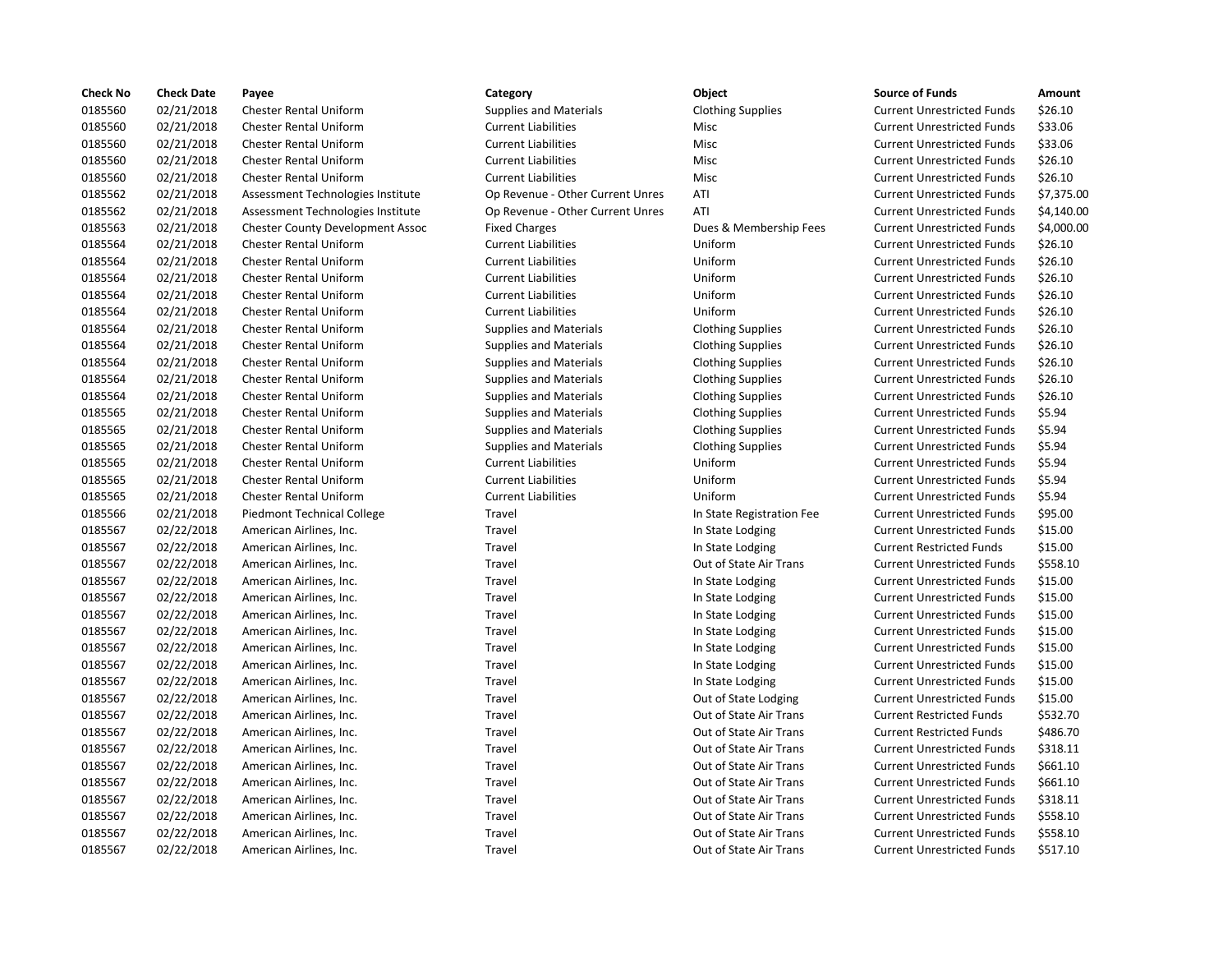| <b>Check No</b> | <b>Check Date</b> | Payee                                   | Category                         | Object                    | <b>Source of Funds</b>            | Amount     |
|-----------------|-------------------|-----------------------------------------|----------------------------------|---------------------------|-----------------------------------|------------|
| 0185560         | 02/21/2018        | Chester Rental Uniform                  | <b>Supplies and Materials</b>    | <b>Clothing Supplies</b>  | <b>Current Unrestricted Funds</b> | \$26.10    |
| 0185560         | 02/21/2018        | <b>Chester Rental Uniform</b>           | <b>Current Liabilities</b>       | Misc                      | <b>Current Unrestricted Funds</b> | \$33.06    |
| 0185560         | 02/21/2018        | <b>Chester Rental Uniform</b>           | <b>Current Liabilities</b>       | Misc                      | <b>Current Unrestricted Funds</b> | \$33.06    |
| 0185560         | 02/21/2018        | <b>Chester Rental Uniform</b>           | <b>Current Liabilities</b>       | Misc                      | <b>Current Unrestricted Funds</b> | \$26.10    |
| 0185560         | 02/21/2018        | Chester Rental Uniform                  | <b>Current Liabilities</b>       | Misc                      | <b>Current Unrestricted Funds</b> | \$26.10    |
| 0185562         | 02/21/2018        | Assessment Technologies Institute       | Op Revenue - Other Current Unres | ATI                       | <b>Current Unrestricted Funds</b> | \$7,375.00 |
| 0185562         | 02/21/2018        | Assessment Technologies Institute       | Op Revenue - Other Current Unres | ATI                       | <b>Current Unrestricted Funds</b> | \$4,140.00 |
| 0185563         | 02/21/2018        | <b>Chester County Development Assoc</b> | <b>Fixed Charges</b>             | Dues & Membership Fees    | <b>Current Unrestricted Funds</b> | \$4,000.00 |
| 0185564         | 02/21/2018        | Chester Rental Uniform                  | <b>Current Liabilities</b>       | Uniform                   | <b>Current Unrestricted Funds</b> | \$26.10    |
| 0185564         | 02/21/2018        | <b>Chester Rental Uniform</b>           | <b>Current Liabilities</b>       | Uniform                   | <b>Current Unrestricted Funds</b> | \$26.10    |
| 0185564         | 02/21/2018        | <b>Chester Rental Uniform</b>           | <b>Current Liabilities</b>       | Uniform                   | <b>Current Unrestricted Funds</b> | \$26.10    |
| 0185564         | 02/21/2018        | <b>Chester Rental Uniform</b>           | <b>Current Liabilities</b>       | Uniform                   | <b>Current Unrestricted Funds</b> | \$26.10    |
| 0185564         | 02/21/2018        | Chester Rental Uniform                  | <b>Current Liabilities</b>       | Uniform                   | <b>Current Unrestricted Funds</b> | \$26.10    |
| 0185564         | 02/21/2018        | <b>Chester Rental Uniform</b>           | <b>Supplies and Materials</b>    | <b>Clothing Supplies</b>  | <b>Current Unrestricted Funds</b> | \$26.10    |
| 0185564         | 02/21/2018        | Chester Rental Uniform                  | <b>Supplies and Materials</b>    | <b>Clothing Supplies</b>  | <b>Current Unrestricted Funds</b> | \$26.10    |
| 0185564         | 02/21/2018        | <b>Chester Rental Uniform</b>           | <b>Supplies and Materials</b>    | <b>Clothing Supplies</b>  | <b>Current Unrestricted Funds</b> | \$26.10    |
| 0185564         | 02/21/2018        | <b>Chester Rental Uniform</b>           | <b>Supplies and Materials</b>    | <b>Clothing Supplies</b>  | <b>Current Unrestricted Funds</b> | \$26.10    |
| 0185564         | 02/21/2018        | <b>Chester Rental Uniform</b>           | <b>Supplies and Materials</b>    | <b>Clothing Supplies</b>  | <b>Current Unrestricted Funds</b> | \$26.10    |
| 0185565         | 02/21/2018        | <b>Chester Rental Uniform</b>           | <b>Supplies and Materials</b>    | <b>Clothing Supplies</b>  | <b>Current Unrestricted Funds</b> | \$5.94     |
| 0185565         | 02/21/2018        | Chester Rental Uniform                  | <b>Supplies and Materials</b>    | <b>Clothing Supplies</b>  | <b>Current Unrestricted Funds</b> | \$5.94     |
| 0185565         | 02/21/2018        | <b>Chester Rental Uniform</b>           | <b>Supplies and Materials</b>    | <b>Clothing Supplies</b>  | <b>Current Unrestricted Funds</b> | \$5.94     |
| 0185565         | 02/21/2018        | <b>Chester Rental Uniform</b>           | <b>Current Liabilities</b>       | Uniform                   | <b>Current Unrestricted Funds</b> | \$5.94     |
| 0185565         | 02/21/2018        | <b>Chester Rental Uniform</b>           | <b>Current Liabilities</b>       | Uniform                   | <b>Current Unrestricted Funds</b> | \$5.94     |
| 0185565         | 02/21/2018        | <b>Chester Rental Uniform</b>           | <b>Current Liabilities</b>       | Uniform                   | <b>Current Unrestricted Funds</b> | \$5.94     |
| 0185566         | 02/21/2018        | Piedmont Technical College              | Travel                           | In State Registration Fee | <b>Current Unrestricted Funds</b> | \$95.00    |
| 0185567         | 02/22/2018        | American Airlines, Inc.                 | Travel                           | In State Lodging          | <b>Current Unrestricted Funds</b> | \$15.00    |
| 0185567         | 02/22/2018        | American Airlines, Inc.                 | Travel                           | In State Lodging          | <b>Current Restricted Funds</b>   | \$15.00    |
| 0185567         | 02/22/2018        | American Airlines, Inc.                 | Travel                           | Out of State Air Trans    | <b>Current Unrestricted Funds</b> | \$558.10   |
| 0185567         | 02/22/2018        | American Airlines, Inc.                 | Travel                           | In State Lodging          | <b>Current Unrestricted Funds</b> | \$15.00    |
| 0185567         | 02/22/2018        | American Airlines, Inc.                 | Travel                           | In State Lodging          | <b>Current Unrestricted Funds</b> | \$15.00    |
| 0185567         | 02/22/2018        | American Airlines, Inc.                 | Travel                           | In State Lodging          | <b>Current Unrestricted Funds</b> | \$15.00    |
| 0185567         | 02/22/2018        | American Airlines, Inc.                 | Travel                           | In State Lodging          | <b>Current Unrestricted Funds</b> | \$15.00    |
| 0185567         | 02/22/2018        | American Airlines, Inc.                 | Travel                           | In State Lodging          | <b>Current Unrestricted Funds</b> | \$15.00    |
| 0185567         | 02/22/2018        | American Airlines, Inc.                 | Travel                           | In State Lodging          | <b>Current Unrestricted Funds</b> | \$15.00    |
| 0185567         | 02/22/2018        | American Airlines, Inc.                 | Travel                           | In State Lodging          | <b>Current Unrestricted Funds</b> | \$15.00    |
| 0185567         | 02/22/2018        | American Airlines, Inc.                 | Travel                           | Out of State Lodging      | <b>Current Unrestricted Funds</b> | \$15.00    |
| 0185567         | 02/22/2018        | American Airlines, Inc.                 | Travel                           | Out of State Air Trans    | <b>Current Restricted Funds</b>   | \$532.70   |
| 0185567         | 02/22/2018        | American Airlines, Inc.                 | Travel                           | Out of State Air Trans    | <b>Current Restricted Funds</b>   | \$486.70   |
| 0185567         | 02/22/2018        | American Airlines, Inc.                 | Travel                           | Out of State Air Trans    | <b>Current Unrestricted Funds</b> | \$318.11   |
| 0185567         | 02/22/2018        | American Airlines, Inc.                 | Travel                           | Out of State Air Trans    | <b>Current Unrestricted Funds</b> | \$661.10   |
| 0185567         | 02/22/2018        | American Airlines, Inc.                 | Travel                           | Out of State Air Trans    | <b>Current Unrestricted Funds</b> | \$661.10   |
| 0185567         | 02/22/2018        | American Airlines, Inc.                 | Travel                           | Out of State Air Trans    | <b>Current Unrestricted Funds</b> | \$318.11   |
| 0185567         | 02/22/2018        | American Airlines, Inc.                 | Travel                           | Out of State Air Trans    | <b>Current Unrestricted Funds</b> | \$558.10   |
| 0185567         | 02/22/2018        | American Airlines, Inc.                 | Travel                           | Out of State Air Trans    | <b>Current Unrestricted Funds</b> | \$558.10   |
| 0185567         | 02/22/2018        | American Airlines, Inc.                 | Travel                           | Out of State Air Trans    | <b>Current Unrestricted Funds</b> | \$517.10   |

| Object                    |
|---------------------------|
| <b>Clothing Supplies</b>  |
| Misc                      |
| Misc                      |
| Misc                      |
| Misc                      |
| ATI                       |
| ATI                       |
| Dues & Membership Fees    |
| Uniform                   |
| Uniform                   |
| Uniform                   |
| Uniform                   |
| Uniform                   |
| <b>Clothing Supplies</b>  |
| <b>Clothing Supplies</b>  |
| <b>Clothing Supplies</b>  |
| <b>Clothing Supplies</b>  |
| <b>Clothing Supplies</b>  |
| <b>Clothing Supplies</b>  |
| <b>Clothing Supplies</b>  |
| <b>Clothing Supplies</b>  |
| Uniform                   |
| Uniform                   |
| Uniform                   |
| In State Registration Fee |
| In State Lodging          |
| In State Lodging          |
| Out of State Air Trans    |
| In State Lodging          |
| In State Lodging          |
| In State Lodging          |
| In State Lodging          |
| In State Lodging          |
| In State Lodging          |
| In State Lodging          |
| Out of State Lodging      |
| Out of State Air Trans    |
| Out of State Air Trans    |
| Out of State Air Trans    |
| Out of State Air Trans    |
| Out of State Air Trans    |
| Out of State Air Trans    |
| Out of State Air Trans    |
| Out of State Air Trans    |
| Out of State Air<br>Tranc |

| Category                         | Object                    | <b>Source of Funds</b>            | Amount     |
|----------------------------------|---------------------------|-----------------------------------|------------|
| <b>Supplies and Materials</b>    | <b>Clothing Supplies</b>  | <b>Current Unrestricted Funds</b> | \$26.10    |
| <b>Current Liabilities</b>       | Misc                      | <b>Current Unrestricted Funds</b> | \$33.06    |
| <b>Current Liabilities</b>       | Misc                      | <b>Current Unrestricted Funds</b> | \$33.06    |
| <b>Current Liabilities</b>       | Misc                      | <b>Current Unrestricted Funds</b> | \$26.10    |
| <b>Current Liabilities</b>       | Misc                      | <b>Current Unrestricted Funds</b> | \$26.10    |
| Op Revenue - Other Current Unres | ATI                       | <b>Current Unrestricted Funds</b> | \$7,375.00 |
| Op Revenue - Other Current Unres | ATI                       | <b>Current Unrestricted Funds</b> | \$4,140.00 |
| <b>Fixed Charges</b>             | Dues & Membership Fees    | <b>Current Unrestricted Funds</b> | \$4,000.00 |
| <b>Current Liabilities</b>       | Uniform                   | <b>Current Unrestricted Funds</b> | \$26.10    |
| <b>Current Liabilities</b>       | Uniform                   | <b>Current Unrestricted Funds</b> | \$26.10    |
| <b>Current Liabilities</b>       | Uniform                   | <b>Current Unrestricted Funds</b> | \$26.10    |
| <b>Current Liabilities</b>       | Uniform                   | <b>Current Unrestricted Funds</b> | \$26.10    |
| <b>Current Liabilities</b>       | Uniform                   | <b>Current Unrestricted Funds</b> | \$26.10    |
| <b>Supplies and Materials</b>    | <b>Clothing Supplies</b>  | <b>Current Unrestricted Funds</b> | \$26.10    |
| <b>Supplies and Materials</b>    | <b>Clothing Supplies</b>  | <b>Current Unrestricted Funds</b> | \$26.10    |
| <b>Supplies and Materials</b>    | <b>Clothing Supplies</b>  | <b>Current Unrestricted Funds</b> | \$26.10    |
| <b>Supplies and Materials</b>    | <b>Clothing Supplies</b>  | <b>Current Unrestricted Funds</b> | \$26.10    |
| <b>Supplies and Materials</b>    | <b>Clothing Supplies</b>  | <b>Current Unrestricted Funds</b> | \$26.10    |
| <b>Supplies and Materials</b>    | <b>Clothing Supplies</b>  | <b>Current Unrestricted Funds</b> | \$5.94     |
| <b>Supplies and Materials</b>    | <b>Clothing Supplies</b>  | <b>Current Unrestricted Funds</b> | \$5.94     |
| <b>Supplies and Materials</b>    | <b>Clothing Supplies</b>  | <b>Current Unrestricted Funds</b> | \$5.94     |
| <b>Current Liabilities</b>       | Uniform                   | <b>Current Unrestricted Funds</b> | \$5.94     |
| <b>Current Liabilities</b>       | Uniform                   | <b>Current Unrestricted Funds</b> | \$5.94     |
| <b>Current Liabilities</b>       | Uniform                   | <b>Current Unrestricted Funds</b> | \$5.94     |
| Travel                           | In State Registration Fee | <b>Current Unrestricted Funds</b> | \$95.00    |
| Travel                           | In State Lodging          | <b>Current Unrestricted Funds</b> | \$15.00    |
| Travel                           | In State Lodging          | <b>Current Restricted Funds</b>   | \$15.00    |
| Travel                           | Out of State Air Trans    | <b>Current Unrestricted Funds</b> | \$558.10   |
| Travel                           | In State Lodging          | <b>Current Unrestricted Funds</b> | \$15.00    |
| Travel                           | In State Lodging          | <b>Current Unrestricted Funds</b> | \$15.00    |
| Travel                           | In State Lodging          | <b>Current Unrestricted Funds</b> | \$15.00    |
| Travel                           | In State Lodging          | <b>Current Unrestricted Funds</b> | \$15.00    |
| Travel                           | In State Lodging          | <b>Current Unrestricted Funds</b> | \$15.00    |
| Travel                           | In State Lodging          | <b>Current Unrestricted Funds</b> | \$15.00    |
| Travel                           | In State Lodging          | <b>Current Unrestricted Funds</b> | \$15.00    |
| Travel                           | Out of State Lodging      | <b>Current Unrestricted Funds</b> | \$15.00    |
| Travel                           | Out of State Air Trans    | <b>Current Restricted Funds</b>   | \$532.70   |
| Travel                           | Out of State Air Trans    | <b>Current Restricted Funds</b>   | \$486.70   |
| Travel                           | Out of State Air Trans    | <b>Current Unrestricted Funds</b> | \$318.11   |
| Travel                           | Out of State Air Trans    | <b>Current Unrestricted Funds</b> | \$661.10   |
| Travel                           | Out of State Air Trans    | <b>Current Unrestricted Funds</b> | \$661.10   |
| Travel                           | Out of State Air Trans    | <b>Current Unrestricted Funds</b> | \$318.11   |
| Travel                           | Out of State Air Trans    | <b>Current Unrestricted Funds</b> | \$558.10   |
| Travel                           | Out of State Air Trans    | <b>Current Unrestricted Funds</b> | \$558.10   |
|                                  |                           |                                   |            |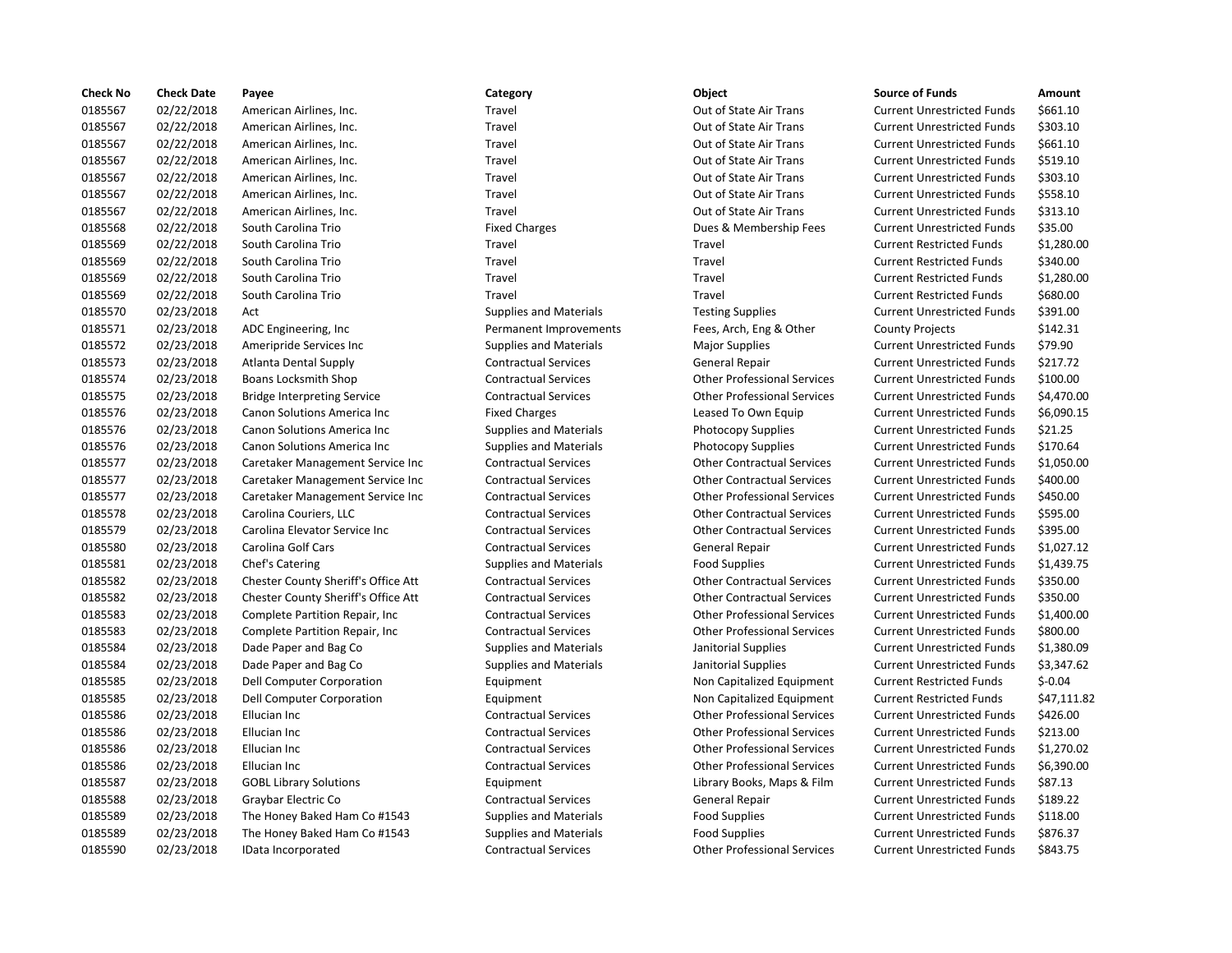| <b>Check No</b> | <b>Check Date</b> | Payee                                      | Category                      | Object                             | <b>Source of Funds</b>            | Amount     |
|-----------------|-------------------|--------------------------------------------|-------------------------------|------------------------------------|-----------------------------------|------------|
| 0185567         | 02/22/2018        | American Airlines, Inc.                    | Travel                        | Out of State Air Trans             | <b>Current Unrestricted Funds</b> | \$661.10   |
| 0185567         | 02/22/2018        | American Airlines, Inc.                    | Travel                        | Out of State Air Trans             | <b>Current Unrestricted Funds</b> | \$303.10   |
| 0185567         | 02/22/2018        | American Airlines, Inc.                    | Travel                        | Out of State Air Trans             | <b>Current Unrestricted Funds</b> | \$661.10   |
| 0185567         | 02/22/2018        | American Airlines, Inc.                    | Travel                        | Out of State Air Trans             | <b>Current Unrestricted Funds</b> | \$519.10   |
| 0185567         | 02/22/2018        | American Airlines, Inc.                    | Travel                        | Out of State Air Trans             | <b>Current Unrestricted Funds</b> | \$303.10   |
| 0185567         | 02/22/2018        | American Airlines, Inc.                    | Travel                        | Out of State Air Trans             | <b>Current Unrestricted Funds</b> | \$558.10   |
| 0185567         | 02/22/2018        | American Airlines, Inc.                    | Travel                        | Out of State Air Trans             | <b>Current Unrestricted Funds</b> | \$313.10   |
| 0185568         | 02/22/2018        | South Carolina Trio                        | <b>Fixed Charges</b>          | Dues & Membership Fees             | <b>Current Unrestricted Funds</b> | \$35.00    |
| 0185569         | 02/22/2018        | South Carolina Trio                        | Travel                        | Travel                             | <b>Current Restricted Funds</b>   | \$1,280.00 |
| 0185569         | 02/22/2018        | South Carolina Trio                        | Travel                        | Travel                             | <b>Current Restricted Funds</b>   | \$340.00   |
| 0185569         | 02/22/2018        | South Carolina Trio                        | Travel                        | Travel                             | <b>Current Restricted Funds</b>   | \$1,280.00 |
| 0185569         | 02/22/2018        | South Carolina Trio                        | Travel                        | Travel                             | <b>Current Restricted Funds</b>   | \$680.00   |
| 0185570         | 02/23/2018        | Act                                        | <b>Supplies and Materials</b> | <b>Testing Supplies</b>            | <b>Current Unrestricted Funds</b> | \$391.00   |
| 0185571         | 02/23/2018        | ADC Engineering, Inc                       | Permanent Improvements        | Fees, Arch, Eng & Other            | <b>County Projects</b>            | \$142.31   |
| 0185572         | 02/23/2018        | Ameripride Services Inc                    | <b>Supplies and Materials</b> | <b>Major Supplies</b>              | <b>Current Unrestricted Funds</b> | \$79.90    |
| 0185573         | 02/23/2018        | <b>Atlanta Dental Supply</b>               | <b>Contractual Services</b>   | General Repair                     | <b>Current Unrestricted Funds</b> | \$217.72   |
| 0185574         | 02/23/2018        | Boans Locksmith Shop                       | <b>Contractual Services</b>   | <b>Other Professional Services</b> | <b>Current Unrestricted Funds</b> | \$100.00   |
| 0185575         | 02/23/2018        | <b>Bridge Interpreting Service</b>         | <b>Contractual Services</b>   | <b>Other Professional Services</b> | <b>Current Unrestricted Funds</b> | \$4,470.00 |
| 0185576         | 02/23/2018        | Canon Solutions America Inc                | <b>Fixed Charges</b>          | Leased To Own Equip                | <b>Current Unrestricted Funds</b> | \$6,090.15 |
| 0185576         | 02/23/2018        | Canon Solutions America Inc                | <b>Supplies and Materials</b> | <b>Photocopy Supplies</b>          | <b>Current Unrestricted Funds</b> | \$21.25    |
| 0185576         | 02/23/2018        | Canon Solutions America Inc                | <b>Supplies and Materials</b> | Photocopy Supplies                 | <b>Current Unrestricted Funds</b> | \$170.64   |
| 0185577         | 02/23/2018        | Caretaker Management Service Inc           | <b>Contractual Services</b>   | <b>Other Contractual Services</b>  | <b>Current Unrestricted Funds</b> | \$1,050.00 |
| 0185577         | 02/23/2018        | Caretaker Management Service Inc           | <b>Contractual Services</b>   | <b>Other Contractual Services</b>  | <b>Current Unrestricted Funds</b> | \$400.00   |
| 0185577         | 02/23/2018        | Caretaker Management Service Inc           | <b>Contractual Services</b>   | <b>Other Professional Services</b> | <b>Current Unrestricted Funds</b> | \$450.00   |
| 0185578         | 02/23/2018        | Carolina Couriers, LLC                     | <b>Contractual Services</b>   | <b>Other Contractual Services</b>  | <b>Current Unrestricted Funds</b> | \$595.00   |
| 0185579         | 02/23/2018        | Carolina Elevator Service Inc              | <b>Contractual Services</b>   | <b>Other Contractual Services</b>  | <b>Current Unrestricted Funds</b> | \$395.00   |
| 0185580         | 02/23/2018        | Carolina Golf Cars                         | <b>Contractual Services</b>   | <b>General Repair</b>              | <b>Current Unrestricted Funds</b> | \$1,027.12 |
| 0185581         | 02/23/2018        | Chef's Catering                            | <b>Supplies and Materials</b> | <b>Food Supplies</b>               | <b>Current Unrestricted Funds</b> | \$1,439.75 |
| 0185582         | 02/23/2018        | <b>Chester County Sheriff's Office Att</b> | <b>Contractual Services</b>   | <b>Other Contractual Services</b>  | <b>Current Unrestricted Funds</b> | \$350.00   |
| 0185582         | 02/23/2018        | <b>Chester County Sheriff's Office Att</b> | <b>Contractual Services</b>   | <b>Other Contractual Services</b>  | <b>Current Unrestricted Funds</b> | \$350.00   |
| 0185583         | 02/23/2018        | Complete Partition Repair, Inc.            | <b>Contractual Services</b>   | <b>Other Professional Services</b> | <b>Current Unrestricted Funds</b> | \$1,400.00 |
| 0185583         | 02/23/2018        | Complete Partition Repair, Inc.            | <b>Contractual Services</b>   | <b>Other Professional Services</b> | <b>Current Unrestricted Funds</b> | \$800.00   |
| 0185584         | 02/23/2018        | Dade Paper and Bag Co                      | <b>Supplies and Materials</b> | Janitorial Supplies                | <b>Current Unrestricted Funds</b> | \$1,380.09 |
| 0185584         | 02/23/2018        | Dade Paper and Bag Co                      | <b>Supplies and Materials</b> | Janitorial Supplies                | <b>Current Unrestricted Funds</b> | \$3,347.62 |
| 0185585         | 02/23/2018        | Dell Computer Corporation                  | Equipment                     | Non Capitalized Equipment          | <b>Current Restricted Funds</b>   | $$-0.04$   |
| 0185585         | 02/23/2018        | Dell Computer Corporation                  | Equipment                     | Non Capitalized Equipment          | <b>Current Restricted Funds</b>   | \$47,111.8 |
| 0185586         | 02/23/2018        | Ellucian Inc                               | <b>Contractual Services</b>   | <b>Other Professional Services</b> | <b>Current Unrestricted Funds</b> | \$426.00   |
| 0185586         | 02/23/2018        | Ellucian Inc                               | <b>Contractual Services</b>   | <b>Other Professional Services</b> | <b>Current Unrestricted Funds</b> | \$213.00   |
| 0185586         | 02/23/2018        | Ellucian Inc                               | <b>Contractual Services</b>   | <b>Other Professional Services</b> | <b>Current Unrestricted Funds</b> | \$1,270.02 |
| 0185586         | 02/23/2018        | Ellucian Inc                               | <b>Contractual Services</b>   | <b>Other Professional Services</b> | <b>Current Unrestricted Funds</b> | \$6,390.00 |
| 0185587         | 02/23/2018        | <b>GOBL Library Solutions</b>              | Equipment                     | Library Books, Maps & Film         | <b>Current Unrestricted Funds</b> | \$87.13    |
| 0185588         | 02/23/2018        | Graybar Electric Co                        | <b>Contractual Services</b>   | General Repair                     | <b>Current Unrestricted Funds</b> | \$189.22   |
| 0185589         | 02/23/2018        | The Honey Baked Ham Co #1543               | <b>Supplies and Materials</b> | <b>Food Supplies</b>               | <b>Current Unrestricted Funds</b> | \$118.00   |
| 0185589         | 02/23/2018        | The Honey Baked Ham Co #1543               | <b>Supplies and Materials</b> | <b>Food Supplies</b>               | <b>Current Unrestricted Funds</b> | \$876.37   |
| 0185590         | 02/23/2018        | IData Incorporated                         | <b>Contractual Services</b>   | <b>Other Professional Services</b> | <b>Current Unrestricted Funds</b> | \$843.75   |

# Travel **2022** 2018 Out of State Air Trans Current Unrestricted Funds 5661.10 Travel **2008** Out of State Air Trans Current Unrestricted Funds \$303.10 Travel **2022** 2018 Out of State Air Trans Current Unrestricted Funds \$661.10 Travel **2022** 2018 Out of State Air Trans Current Unrestricted Funds 5519.10 Travel **2008** 2018 Out of State Air Trans Current Unrestricted Funds \$303.10 Travel **2022** 2018 Travel Airlines, Inc. Trans Current Unrestricted Funds 5558.10 Travel **2008** 2018 Out of State Air Trans Current Unrestricted Funds 5313.10 Fixed Charges **235.00** Dues & Membership Fees Current Unrestricted Funds \$35.00 Travel **12018 Current Restricted Funds** S340.00 0185569 02/22/2018 South Carolina Trio Travel Travel Current Restricted Funds \$680.00 Supplies and Materials **Testing Supplies** Current Unrestricted Funds \$391.00 Permanent Improvements Fees, Arch, Eng & Other County Projects \$142.31 0185572 02/23/2018 Ameripride Services Inc Supplies and Materials Major Supplies Current Unrestricted Funds \$79.90 0185573 02/23/2018 Atlanta Dental Supply Contractual Services General Repair Current Unrestricted Funds \$217.72 0185574 02/23/2018 Boans Locksmith Shop Contractual Services Other Professional Services Current Unrestricted Funds \$100.00 0185575 02/23/2018 Bridge Interpreting Service Contractual Services Other Professional Services Current Unrestricted Funds \$4,470.00 Fixed Charges **Canon Solutions America Inc.** Leased To Own Equip Current Unrestricted Funds \$6,090.15 Supplies and Materials **Canon State Inc.** Photocopy Supplies Current Unrestricted Funds \$21.25 Supplies and Materials **Current Unrestricted Funds** 5170.64 0185577 02/23/2018 Caretaker Management Service Inc Contractual Services Other Contractual Services Current Unrestricted Funds \$1,050.00 0185577 02/23/2018 Caretaker Management Service Inc Contractual Services Other Contractual Services Current Unrestricted Funds \$400.00 0185577 02/23/2018 Caretaker Management Service Inc Contractual Services Other Professional Services Current Unrestricted Funds \$450.00 0185578 02/23/2018 Carolina Couriers, LLC Contractual Services Other Contractual Services Current Unrestricted Funds \$595.00 Contractual Services **Carolina Elevator Contractual Services** Current Unrestricted Funds \$395.00 0185580 02/23/2018 Carolina Golf Cars Contractual Services General Repair Current Unrestricted Funds \$1,027.12 0185581 02/23/2018 Chef's Catering Supplies and Materials Food Supplies Current Unrestricted Funds \$1,439.75 e Att Contractual Services Chester Contractual Services Current Unrestricted Funds \$350.00 e Att Contractual Services Contractual Services Contractual Services Current Unrestricted Funds \$350.00 0185583 02/23/2018 Complete Partition Repair, Inc Contractual Services Other Professional Services Current Unrestricted Funds \$1,400.00 0185583 02/23/2018 Complete Partition Repair, Inc Contractual Services Other Professional Services Current Unrestricted Funds \$800.00 0185584 02/23/2018 Dade Paper and Bag Co Supplies and Materials Janitorial Supplies Current Unrestricted Funds \$1,380.09 0185584 02/23/2018 Dade Paper and Bag Co Supplies and Materials Janitorial Supplies Current Unrestricted Funds \$3,347.62 0185585 02/23/2018 Dell Computer Corporation Equipment Non Capitalized Equipment Current Restricted Funds \$-0.04 Equipment 11.1.82 Contractual Services **Contractual Services** Other Professional Services Current Unrestricted Funds \$426.00 Contractual Services **Current Inc Contractual Services** Current Unrestricted Funds \$213.00 0185586 02/23/2018 Ellucian Inc Contractual Services Other Professional Services Current Unrestricted Funds \$1,270.02 Contractual Services **Current Inc Contractual Services** Current Unrestricted Funds \$6,390.00 0185587 02/23/2018 GOBL Library Solutions Equipment Library Books, Maps & Film Current Unrestricted Funds \$87.13 0185588 02/23/2018 Graybar Electric Co Contractual Services General Repair Current Unrestricted Funds \$189.22 543 **543** Supplies and Materials **Food Supplies Current Unrestricted Funds** 5118.00 548 0276.37 Supplies and Materials **Food Supplies Current Unrestricted Funds** 5876.37 0185590 02/23/2018 IData Incorporated Contractual Services Other Professional Services Current Unrestricted Funds \$843.75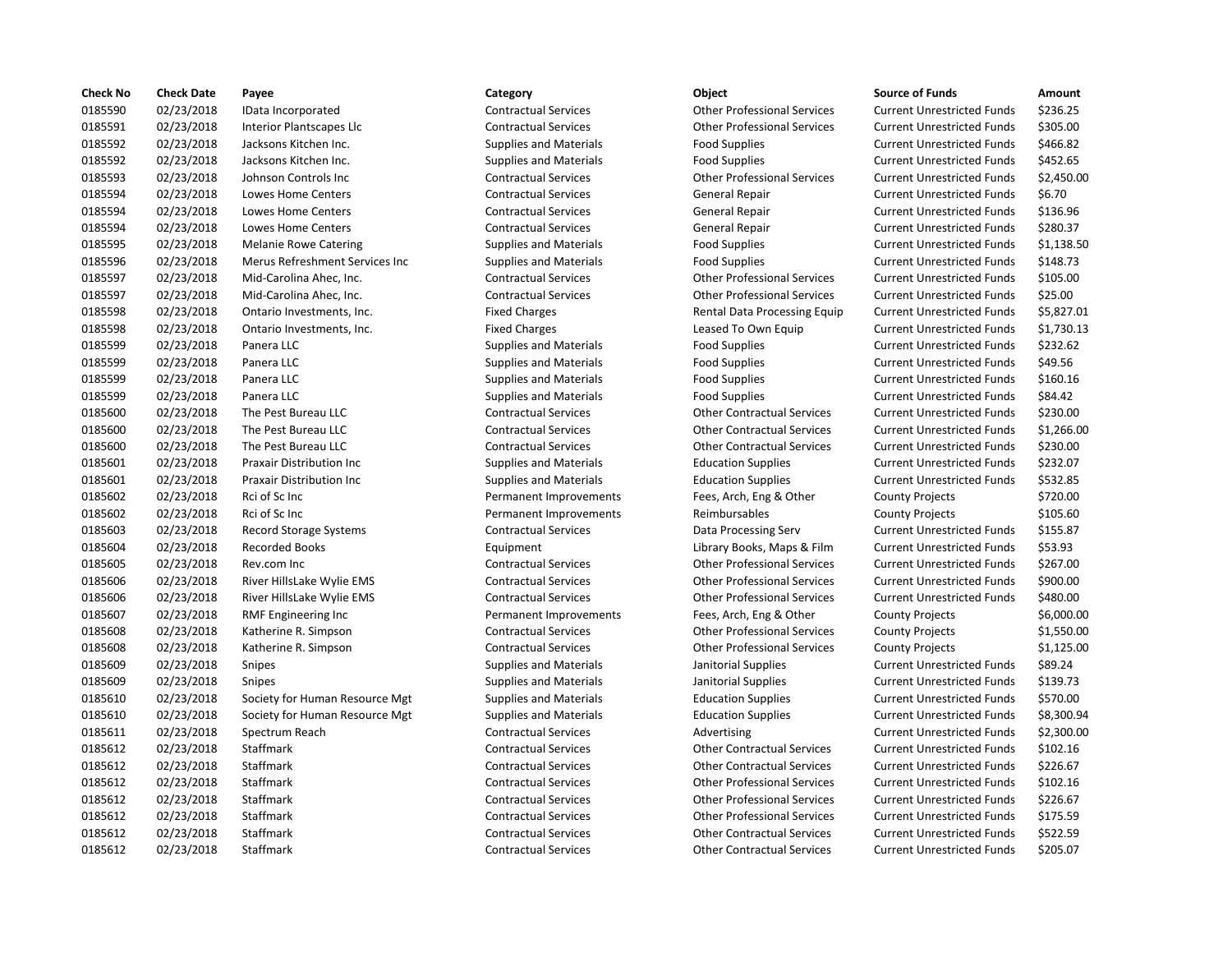| <b>Check No</b> | <b>Check Date</b> | Payee                            | Category                      | Object                             | <b>Source of Funds</b>            | Amount    |
|-----------------|-------------------|----------------------------------|-------------------------------|------------------------------------|-----------------------------------|-----------|
| 0185590         | 02/23/2018        | IData Incorporated               | <b>Contractual Services</b>   | <b>Other Professional Services</b> | <b>Current Unrestricted Funds</b> | \$236.25  |
| 0185591         | 02/23/2018        | Interior Plantscapes Llc         | <b>Contractual Services</b>   | <b>Other Professional Services</b> | <b>Current Unrestricted Funds</b> | \$305.00  |
| 0185592         | 02/23/2018        | Jacksons Kitchen Inc.            | <b>Supplies and Materials</b> | <b>Food Supplies</b>               | <b>Current Unrestricted Funds</b> | \$466.82  |
| 0185592         | 02/23/2018        | Jacksons Kitchen Inc.            | Supplies and Materials        | <b>Food Supplies</b>               | <b>Current Unrestricted Funds</b> | \$452.65  |
| 0185593         | 02/23/2018        | Johnson Controls Inc             | <b>Contractual Services</b>   | <b>Other Professional Services</b> | <b>Current Unrestricted Funds</b> | \$2,450.0 |
| 0185594         | 02/23/2018        | <b>Lowes Home Centers</b>        | <b>Contractual Services</b>   | General Repair                     | <b>Current Unrestricted Funds</b> | \$6.70    |
| 0185594         | 02/23/2018        | Lowes Home Centers               | <b>Contractual Services</b>   | <b>General Repair</b>              | <b>Current Unrestricted Funds</b> | \$136.96  |
| 0185594         | 02/23/2018        | <b>Lowes Home Centers</b>        | <b>Contractual Services</b>   | General Repair                     | <b>Current Unrestricted Funds</b> | \$280.37  |
| 0185595         | 02/23/2018        | <b>Melanie Rowe Catering</b>     | <b>Supplies and Materials</b> | <b>Food Supplies</b>               | <b>Current Unrestricted Funds</b> | \$1,138.5 |
| 0185596         | 02/23/2018        | Merus Refreshment Services Inc   | <b>Supplies and Materials</b> | <b>Food Supplies</b>               | <b>Current Unrestricted Funds</b> | \$148.73  |
| 0185597         | 02/23/2018        | Mid-Carolina Ahec, Inc.          | <b>Contractual Services</b>   | <b>Other Professional Services</b> | <b>Current Unrestricted Funds</b> | \$105.00  |
| 0185597         | 02/23/2018        | Mid-Carolina Ahec, Inc.          | <b>Contractual Services</b>   | <b>Other Professional Services</b> | <b>Current Unrestricted Funds</b> | \$25.00   |
| 0185598         | 02/23/2018        | Ontario Investments, Inc.        | <b>Fixed Charges</b>          | Rental Data Processing Equip       | <b>Current Unrestricted Funds</b> | \$5,827.0 |
| 0185598         | 02/23/2018        | Ontario Investments, Inc.        | <b>Fixed Charges</b>          | Leased To Own Equip                | <b>Current Unrestricted Funds</b> | \$1,730.1 |
| 0185599         | 02/23/2018        | Panera LLC                       | <b>Supplies and Materials</b> | <b>Food Supplies</b>               | <b>Current Unrestricted Funds</b> | \$232.62  |
| 0185599         | 02/23/2018        | Panera LLC                       | <b>Supplies and Materials</b> | <b>Food Supplies</b>               | <b>Current Unrestricted Funds</b> | \$49.56   |
| 0185599         | 02/23/2018        | Panera LLC                       | <b>Supplies and Materials</b> | <b>Food Supplies</b>               | <b>Current Unrestricted Funds</b> | \$160.16  |
| 0185599         | 02/23/2018        | Panera LLC                       | <b>Supplies and Materials</b> | <b>Food Supplies</b>               | <b>Current Unrestricted Funds</b> | \$84.42   |
| 0185600         | 02/23/2018        | The Pest Bureau LLC              | <b>Contractual Services</b>   | <b>Other Contractual Services</b>  | <b>Current Unrestricted Funds</b> | \$230.00  |
| 0185600         | 02/23/2018        | The Pest Bureau LLC              | <b>Contractual Services</b>   | <b>Other Contractual Services</b>  | <b>Current Unrestricted Funds</b> | \$1,266.0 |
| 0185600         | 02/23/2018        | The Pest Bureau LLC              | <b>Contractual Services</b>   | <b>Other Contractual Services</b>  | <b>Current Unrestricted Funds</b> | \$230.00  |
| 0185601         | 02/23/2018        | Praxair Distribution Inc         | <b>Supplies and Materials</b> | <b>Education Supplies</b>          | <b>Current Unrestricted Funds</b> | \$232.07  |
| 0185601         | 02/23/2018        | <b>Praxair Distribution Inc.</b> | <b>Supplies and Materials</b> | <b>Education Supplies</b>          | <b>Current Unrestricted Funds</b> | \$532.85  |
| 0185602         | 02/23/2018        | Rci of Sc Inc                    | Permanent Improvements        | Fees, Arch, Eng & Other            | <b>County Projects</b>            | \$720.00  |
| 0185602         | 02/23/2018        | Rci of Sc Inc                    | Permanent Improvements        | Reimbursables                      | <b>County Projects</b>            | \$105.60  |
| 0185603         | 02/23/2018        | Record Storage Systems           | <b>Contractual Services</b>   | Data Processing Serv               | <b>Current Unrestricted Funds</b> | \$155.87  |
| 0185604         | 02/23/2018        | <b>Recorded Books</b>            | Equipment                     | Library Books, Maps & Film         | <b>Current Unrestricted Funds</b> | \$53.93   |
| 0185605         | 02/23/2018        | Rev.com Inc                      | <b>Contractual Services</b>   | <b>Other Professional Services</b> | <b>Current Unrestricted Funds</b> | \$267.00  |
| 0185606         | 02/23/2018        | River HillsLake Wylie EMS        | <b>Contractual Services</b>   | <b>Other Professional Services</b> | <b>Current Unrestricted Funds</b> | \$900.00  |
| 0185606         | 02/23/2018        | River HillsLake Wylie EMS        | <b>Contractual Services</b>   | <b>Other Professional Services</b> | <b>Current Unrestricted Funds</b> | \$480.00  |
| 0185607         | 02/23/2018        | RMF Engineering Inc              | Permanent Improvements        | Fees, Arch, Eng & Other            | <b>County Projects</b>            | \$6,000.0 |
| 0185608         | 02/23/2018        | Katherine R. Simpson             | <b>Contractual Services</b>   | <b>Other Professional Services</b> | <b>County Projects</b>            | \$1,550.0 |
| 0185608         | 02/23/2018        | Katherine R. Simpson             | <b>Contractual Services</b>   | <b>Other Professional Services</b> | <b>County Projects</b>            | \$1,125.0 |
| 0185609         | 02/23/2018        | Snipes                           | <b>Supplies and Materials</b> | Janitorial Supplies                | <b>Current Unrestricted Funds</b> | \$89.24   |
| 0185609         | 02/23/2018        | <b>Snipes</b>                    | <b>Supplies and Materials</b> | Janitorial Supplies                | <b>Current Unrestricted Funds</b> | \$139.73  |
| 0185610         | 02/23/2018        | Society for Human Resource Mgt   | <b>Supplies and Materials</b> | <b>Education Supplies</b>          | <b>Current Unrestricted Funds</b> | \$570.00  |
| 0185610         | 02/23/2018        | Society for Human Resource Mgt   | <b>Supplies and Materials</b> | <b>Education Supplies</b>          | <b>Current Unrestricted Funds</b> | \$8,300.9 |
| 0185611         | 02/23/2018        | Spectrum Reach                   | <b>Contractual Services</b>   | Advertising                        | <b>Current Unrestricted Funds</b> | \$2,300.0 |
| 0185612         | 02/23/2018        | Staffmark                        | <b>Contractual Services</b>   | <b>Other Contractual Services</b>  | <b>Current Unrestricted Funds</b> | \$102.16  |
| 0185612         | 02/23/2018        | Staffmark                        | <b>Contractual Services</b>   | <b>Other Contractual Services</b>  | <b>Current Unrestricted Funds</b> | \$226.67  |
| 0185612         | 02/23/2018        | Staffmark                        | <b>Contractual Services</b>   | <b>Other Professional Services</b> | <b>Current Unrestricted Funds</b> | \$102.16  |
| 0185612         | 02/23/2018        | Staffmark                        | <b>Contractual Services</b>   | <b>Other Professional Services</b> | <b>Current Unrestricted Funds</b> | \$226.67  |
| 0185612         | 02/23/2018        | Staffmark                        | <b>Contractual Services</b>   | <b>Other Professional Services</b> | <b>Current Unrestricted Funds</b> | \$175.59  |
| 0185612         | 02/23/2018        | Staffmark                        | <b>Contractual Services</b>   | <b>Other Contractual Services</b>  | <b>Current Unrestricted Funds</b> | \$522.59  |
| 0185612         | 02/23/2018        | Staffmark                        | <b>Contractual Services</b>   | <b>Other Contractual Services</b>  | <b>Current Unrestricted Funds</b> | \$205.07  |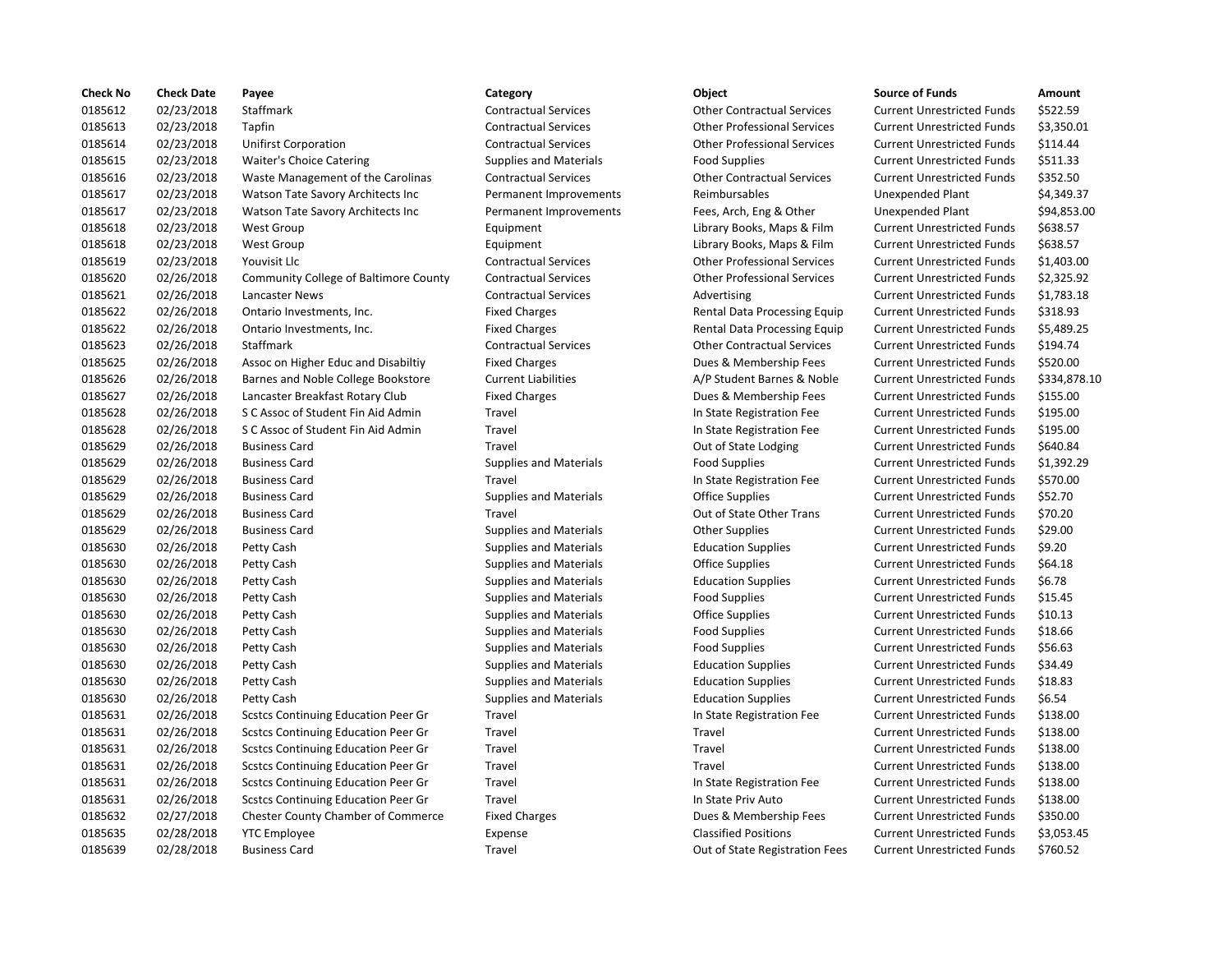| <b>Check No</b> | <b>Check Date</b> | Payee                                      | Category                      | Object                             | <b>Source of Funds</b>            | Amount    |
|-----------------|-------------------|--------------------------------------------|-------------------------------|------------------------------------|-----------------------------------|-----------|
| 0185612         | 02/23/2018        | Staffmark                                  | <b>Contractual Services</b>   | <b>Other Contractual Services</b>  | <b>Current Unrestricted Funds</b> | \$522.59  |
| 0185613         | 02/23/2018        | Tapfin                                     | <b>Contractual Services</b>   | <b>Other Professional Services</b> | <b>Current Unrestricted Funds</b> | \$3,350.0 |
| 0185614         | 02/23/2018        | <b>Unifirst Corporation</b>                | <b>Contractual Services</b>   | <b>Other Professional Services</b> | <b>Current Unrestricted Funds</b> | \$114.44  |
| 0185615         | 02/23/2018        | Waiter's Choice Catering                   | Supplies and Materials        | <b>Food Supplies</b>               | <b>Current Unrestricted Funds</b> | \$511.33  |
| 0185616         | 02/23/2018        | Waste Management of the Carolinas          | <b>Contractual Services</b>   | <b>Other Contractual Services</b>  | <b>Current Unrestricted Funds</b> | \$352.50  |
| 0185617         | 02/23/2018        | Watson Tate Savory Architects Inc          | Permanent Improvements        | Reimbursables                      | <b>Unexpended Plant</b>           | \$4,349.3 |
| 0185617         | 02/23/2018        | Watson Tate Savory Architects Inc          | Permanent Improvements        | Fees, Arch, Eng & Other            | <b>Unexpended Plant</b>           | \$94,853  |
| 0185618         | 02/23/2018        | <b>West Group</b>                          | Equipment                     | Library Books, Maps & Film         | <b>Current Unrestricted Funds</b> | \$638.57  |
| 0185618         | 02/23/2018        | <b>West Group</b>                          | Equipment                     | Library Books, Maps & Film         | <b>Current Unrestricted Funds</b> | \$638.57  |
| 0185619         | 02/23/2018        | Youvisit Llc                               | <b>Contractual Services</b>   | <b>Other Professional Services</b> | <b>Current Unrestricted Funds</b> | \$1,403.0 |
| 0185620         | 02/26/2018        | Community College of Baltimore County      | <b>Contractual Services</b>   | <b>Other Professional Services</b> | <b>Current Unrestricted Funds</b> | \$2,325.9 |
| 0185621         | 02/26/2018        | Lancaster News                             | <b>Contractual Services</b>   | Advertising                        | <b>Current Unrestricted Funds</b> | \$1,783.1 |
| 0185622         | 02/26/2018        | Ontario Investments, Inc.                  | <b>Fixed Charges</b>          | Rental Data Processing Equip       | <b>Current Unrestricted Funds</b> | \$318.93  |
| 0185622         | 02/26/2018        | Ontario Investments, Inc.                  | <b>Fixed Charges</b>          | Rental Data Processing Equip       | <b>Current Unrestricted Funds</b> | \$5,489.2 |
| 0185623         | 02/26/2018        | Staffmark                                  | <b>Contractual Services</b>   | <b>Other Contractual Services</b>  | <b>Current Unrestricted Funds</b> | \$194.74  |
| 0185625         | 02/26/2018        | Assoc on Higher Educ and Disabiltiy        | <b>Fixed Charges</b>          | Dues & Membership Fees             | <b>Current Unrestricted Funds</b> | \$520.00  |
| 0185626         | 02/26/2018        | Barnes and Noble College Bookstore         | <b>Current Liabilities</b>    | A/P Student Barnes & Noble         | <b>Current Unrestricted Funds</b> | \$334,87  |
| 0185627         | 02/26/2018        | Lancaster Breakfast Rotary Club            | <b>Fixed Charges</b>          | Dues & Membership Fees             | <b>Current Unrestricted Funds</b> | \$155.00  |
| 0185628         | 02/26/2018        | S C Assoc of Student Fin Aid Admin         | Travel                        | In State Registration Fee          | <b>Current Unrestricted Funds</b> | \$195.00  |
| 0185628         | 02/26/2018        | S C Assoc of Student Fin Aid Admin         | Travel                        | In State Registration Fee          | <b>Current Unrestricted Funds</b> | \$195.00  |
| 0185629         | 02/26/2018        | <b>Business Card</b>                       | Travel                        | Out of State Lodging               | <b>Current Unrestricted Funds</b> | \$640.84  |
| 0185629         | 02/26/2018        | <b>Business Card</b>                       | <b>Supplies and Materials</b> | <b>Food Supplies</b>               | <b>Current Unrestricted Funds</b> | \$1,392.2 |
| 0185629         | 02/26/2018        | <b>Business Card</b>                       | Travel                        | In State Registration Fee          | <b>Current Unrestricted Funds</b> | \$570.00  |
| 0185629         | 02/26/2018        | <b>Business Card</b>                       | <b>Supplies and Materials</b> | <b>Office Supplies</b>             | <b>Current Unrestricted Funds</b> | \$52.70   |
| 0185629         | 02/26/2018        | <b>Business Card</b>                       | Travel                        | Out of State Other Trans           | <b>Current Unrestricted Funds</b> | \$70.20   |
| 0185629         | 02/26/2018        | <b>Business Card</b>                       | Supplies and Materials        | <b>Other Supplies</b>              | <b>Current Unrestricted Funds</b> | \$29.00   |
| 0185630         | 02/26/2018        | Petty Cash                                 | <b>Supplies and Materials</b> | <b>Education Supplies</b>          | <b>Current Unrestricted Funds</b> | \$9.20    |
| 0185630         | 02/26/2018        | Petty Cash                                 | <b>Supplies and Materials</b> | <b>Office Supplies</b>             | <b>Current Unrestricted Funds</b> | \$64.18   |
| 0185630         | 02/26/2018        | Petty Cash                                 | <b>Supplies and Materials</b> | <b>Education Supplies</b>          | <b>Current Unrestricted Funds</b> | \$6.78    |
| 0185630         | 02/26/2018        | Petty Cash                                 | <b>Supplies and Materials</b> | <b>Food Supplies</b>               | <b>Current Unrestricted Funds</b> | \$15.45   |
| 0185630         | 02/26/2018        | Petty Cash                                 | <b>Supplies and Materials</b> | <b>Office Supplies</b>             | <b>Current Unrestricted Funds</b> | \$10.13   |
| 0185630         | 02/26/2018        | Petty Cash                                 | <b>Supplies and Materials</b> | <b>Food Supplies</b>               | <b>Current Unrestricted Funds</b> | \$18.66   |
| 0185630         | 02/26/2018        | Petty Cash                                 | <b>Supplies and Materials</b> | <b>Food Supplies</b>               | <b>Current Unrestricted Funds</b> | \$56.63   |
| 0185630         | 02/26/2018        | Petty Cash                                 | <b>Supplies and Materials</b> | <b>Education Supplies</b>          | <b>Current Unrestricted Funds</b> | \$34.49   |
| 0185630         | 02/26/2018        | Petty Cash                                 | <b>Supplies and Materials</b> | <b>Education Supplies</b>          | <b>Current Unrestricted Funds</b> | \$18.83   |
| 0185630         | 02/26/2018        | Petty Cash                                 | <b>Supplies and Materials</b> | <b>Education Supplies</b>          | <b>Current Unrestricted Funds</b> | \$6.54    |
| 0185631         | 02/26/2018        | Scstcs Continuing Education Peer Gr        | Travel                        | In State Registration Fee          | <b>Current Unrestricted Funds</b> | \$138.00  |
| 0185631         | 02/26/2018        | <b>Scstcs Continuing Education Peer Gr</b> | Travel                        | Travel                             | <b>Current Unrestricted Funds</b> | \$138.00  |
| 0185631         | 02/26/2018        | <b>Scstcs Continuing Education Peer Gr</b> | Travel                        | Travel                             | <b>Current Unrestricted Funds</b> | \$138.00  |
| 0185631         | 02/26/2018        | <b>Scstcs Continuing Education Peer Gr</b> | Travel                        | Travel                             | <b>Current Unrestricted Funds</b> | \$138.00  |
| 0185631         | 02/26/2018        | <b>Scstcs Continuing Education Peer Gr</b> | Travel                        | In State Registration Fee          | <b>Current Unrestricted Funds</b> | \$138.00  |
| 0185631         | 02/26/2018        | <b>Scstcs Continuing Education Peer Gr</b> | Travel                        | In State Priv Auto                 | <b>Current Unrestricted Funds</b> | \$138.00  |
| 0185632         | 02/27/2018        | Chester County Chamber of Commerce         | <b>Fixed Charges</b>          | Dues & Membership Fees             | <b>Current Unrestricted Funds</b> | \$350.00  |
| 0185635         | 02/28/2018        | <b>YTC Employee</b>                        | Expense                       | <b>Classified Positions</b>        | <b>Current Unrestricted Funds</b> | \$3,053.4 |
| 0185639         | 02/28/2018        | <b>Business Card</b>                       | Travel                        | Out of State Registration Fees     | <b>Current Unrestricted Funds</b> | \$760.52  |

# Travel **2028** 2018 **2028** Out of State Registration Fees Current Unrestricted Funds \$760.52

# 0185612 02/23/2018 Staffmark Contractual Services Other Contractual Services Current Unrestricted Funds \$522.59 0185613 02/23/2018 Tapfin Contractual Services Other Professional Services Current Unrestricted Funds \$3,350.01 0185614 02/23/2018 Unifirst Corporation Contractual Services Other Professional Services Current Unrestricted Funds \$114.44 0185615 02/23/2018 Waiter's Choice Catering Supplies and Materials Food Supplies Current Unrestricted Funds \$511.33 Contractual Services **Carolinas Contractual Services** Current Unrestricted Funds \$352.50 Permanent Improvements Reimbursables Unexpended Plant \$4,349.37 Permanent Improvements Fees, Arch, Eng & Other Unexpended Plant \$94,853.00 Equipment Current Library Books, Maps & Film Current Unrestricted Funds \$638.57 Equipment Current Library Books, Maps & Film Current Unrestricted Funds \$638.57 0185619 02/23/2018 Youvisit Llc Contractual Services Other Professional Services Current Unrestricted Funds \$1,403.00 0185620 02/26/2018 Community College of Baltimore County Contractual Services Other Professional Services Current Unrestricted Funds \$2,325.92 Contractual Services **21,783.18** Advertising Current Unrestricted Funds \$1,783.18 Fixed Charges **Charges Charges Rental Data Processing Equip Current Unrestricted Funds** \$318.93 Fixed Charges **Charges Charges Example 2018** Rental Data Processing Equip Current Unrestricted Funds \$5,489.25 0185623 02/26/2018 Staffmark Contractual Services Other Contractual Services Current Unrestricted Funds \$194.74 Fixed Charges **12020 12020 Educate Associates Current Unrestricted Funds** 5520.00 0185626 02/26/2018 Barnes and Noble College Bookstore Current Liabilities A/P Student Barnes & Noble Current Unrestricted Funds \$334,878.10 Fixed Charges **Current Unrestricted Funds** 6155.00 Travel **12018 In State Registration Fee** Current Unrestricted Funds \$195.00 Travel **12018 In State Registration Fee** Current Unrestricted Funds \$195.00 Travel **2020** 2018 Out of State Lodging Current Unrestricted Funds 5640.84 0185629 02/26/2018 Business Card Supplies and Materials Food Supplies Current Unrestricted Funds \$1,392.29 0185629 02/26/2018 Business Card Travel In State Registration Fee Current Unrestricted Funds \$570.00 Supplies and Materials **Carolates Card Supplies** Current Unrestricted Funds \$52.70 Travel **Example 2018** Out of State Other Trans Current Unrestricted Funds \$70.20 0185629 02/26/2018 Business Card Supplies and Materials Other Supplies Current Unrestricted Funds \$29.00 0185630 02/26/2018 Petty Cash Supplies and Materials Education Supplies Current Unrestricted Funds \$9.20 Supplies and Materials **Cash Supplies Current Unrestricted Funds** \$64.18 0185630 02/26/2018 Petty Cash Supplies and Materials Education Supplies Current Unrestricted Funds \$6.78 0185630 02/26/2018 Petty Cash Supplies and Materials Food Supplies Current Unrestricted Funds \$15.45 Supplies and Materials **Cash Supplies Current Unrestricted Funds** \$10.13 Supplies and Materials **Examples** Food Supplies **Current Unrestricted Funds** \$18.66 Supplies and Materials **Examples** Food Supplies **Current Unrestricted Funds** \$56.63 0185630 02/26/2018 Petty Cash Supplies and Materials Education Supplies Current Unrestricted Funds \$34.49 0185630 02/26/2018 Petty Cash Supplies and Materials Education Supplies Current Unrestricted Funds \$18.83 Supplies and Materials **Education Supplies Current Unrestricted Funds** \$6.54 0185631 02/26/2018 Scstcs Continuing Education Peer Gr Travel In State Registration Fee Current Unrestricted Funds \$138.00 0185631 02/26/2018 Scstcs Continuing Education Peer Gr Travel Travel Current Unrestricted Funds \$138.00 0185631 02/26/2018 Scstcs Continuing Education Peer Gr Travel Travel Current Unrestricted Funds \$138.00 0185631 02/26/2018 Scstcs Continuing Education Peer Gr Travel Travel Current Unrestricted Funds \$138.00 0185631 02/26/2018 Scstcs Continuing Education Peer Gr Travel In State Registration Fee Current Unrestricted Funds \$138.00 0185631 02/26/2018 Scstcs Continuing Education Peer Gr Travel In State Priv Auto Current Unrestricted Funds \$138.00 Fixed Charges Thester County Chester County Commercial Charges Current Unrestricted Funds \$350.00 Expense **12.2018 Classified Positions** Current Unrestricted Funds \$3,053.45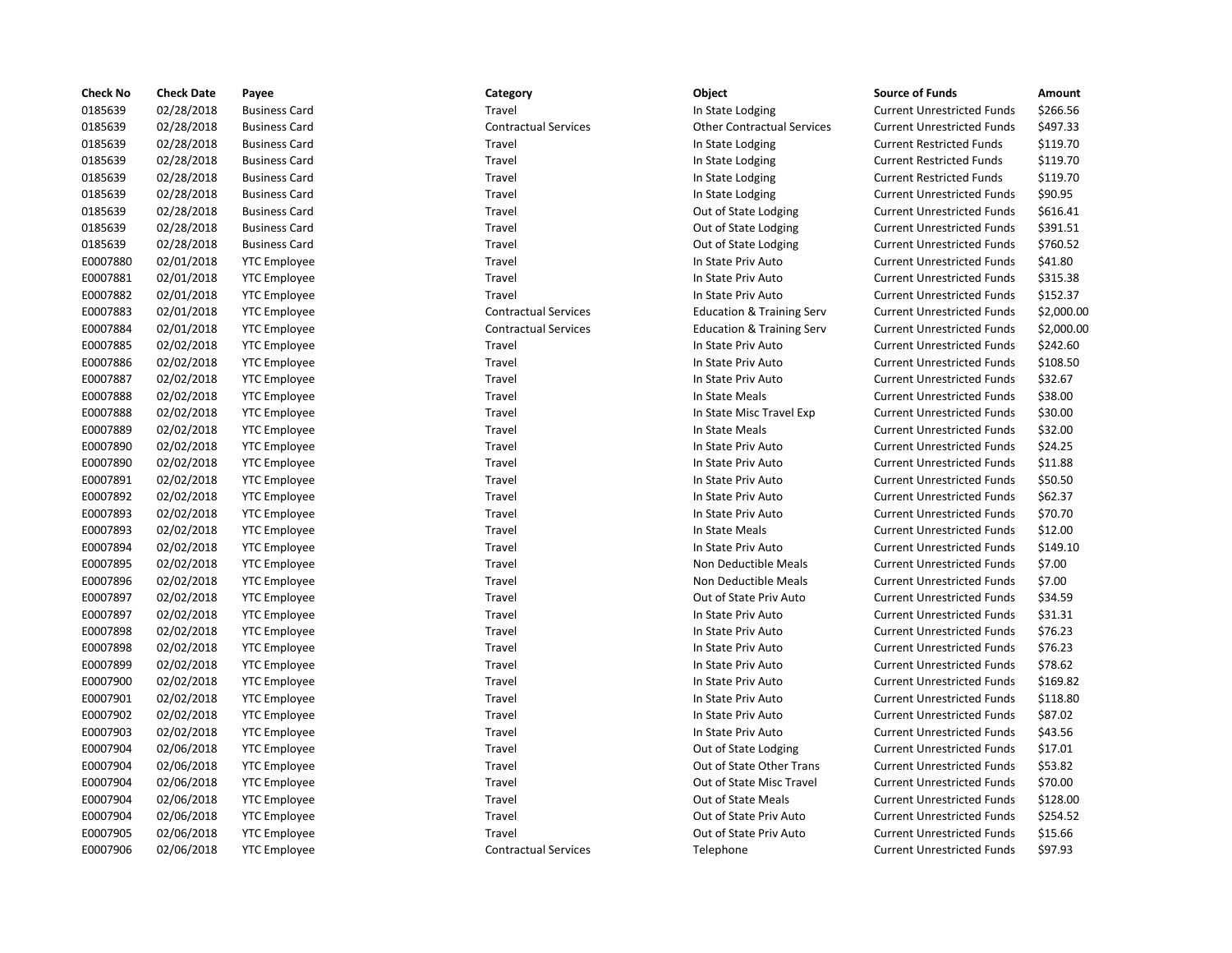| <b>Check No</b> | <b>Check Date</b> | Payee                | Category                    | Object                               | <b>Source of Funds</b>            | Amount    |
|-----------------|-------------------|----------------------|-----------------------------|--------------------------------------|-----------------------------------|-----------|
| 0185639         | 02/28/2018        | <b>Business Card</b> | Travel                      | In State Lodging                     | <b>Current Unrestricted Funds</b> | \$266.56  |
| 0185639         | 02/28/2018        | <b>Business Card</b> | <b>Contractual Services</b> | <b>Other Contractual Services</b>    | <b>Current Unrestricted Funds</b> | \$497.33  |
| 0185639         | 02/28/2018        | <b>Business Card</b> | Travel                      | In State Lodging                     | <b>Current Restricted Funds</b>   | \$119.70  |
| 0185639         | 02/28/2018        | <b>Business Card</b> | Travel                      | In State Lodging                     | <b>Current Restricted Funds</b>   | \$119.70  |
| 0185639         | 02/28/2018        | <b>Business Card</b> | Travel                      | In State Lodging                     | <b>Current Restricted Funds</b>   | \$119.70  |
| 0185639         | 02/28/2018        | <b>Business Card</b> | Travel                      | In State Lodging                     | <b>Current Unrestricted Funds</b> | \$90.95   |
| 0185639         | 02/28/2018        | <b>Business Card</b> | Travel                      | Out of State Lodging                 | <b>Current Unrestricted Funds</b> | \$616.41  |
| 0185639         | 02/28/2018        | <b>Business Card</b> | Travel                      | Out of State Lodging                 | <b>Current Unrestricted Funds</b> | \$391.51  |
| 0185639         | 02/28/2018        | <b>Business Card</b> | Travel                      | Out of State Lodging                 | <b>Current Unrestricted Funds</b> | \$760.52  |
| E0007880        | 02/01/2018        | <b>YTC Employee</b>  | Travel                      | In State Priv Auto                   | <b>Current Unrestricted Funds</b> | \$41.80   |
| E0007881        | 02/01/2018        | <b>YTC Employee</b>  | Travel                      | In State Priv Auto                   | <b>Current Unrestricted Funds</b> | \$315.38  |
| E0007882        | 02/01/2018        | <b>YTC Employee</b>  | Travel                      | In State Priv Auto                   | <b>Current Unrestricted Funds</b> | \$152.37  |
| E0007883        | 02/01/2018        | <b>YTC Employee</b>  | <b>Contractual Services</b> | <b>Education &amp; Training Serv</b> | <b>Current Unrestricted Funds</b> | \$2,000.0 |
| E0007884        | 02/01/2018        | <b>YTC Employee</b>  | <b>Contractual Services</b> | <b>Education &amp; Training Serv</b> | <b>Current Unrestricted Funds</b> | \$2,000.0 |
| E0007885        | 02/02/2018        | <b>YTC Employee</b>  | Travel                      | In State Priv Auto                   | <b>Current Unrestricted Funds</b> | \$242.60  |
| E0007886        | 02/02/2018        | <b>YTC Employee</b>  | Travel                      | In State Priv Auto                   | <b>Current Unrestricted Funds</b> | \$108.50  |
| E0007887        | 02/02/2018        | <b>YTC Employee</b>  | Travel                      | In State Priv Auto                   | <b>Current Unrestricted Funds</b> | \$32.67   |
| E0007888        | 02/02/2018        | <b>YTC Employee</b>  | Travel                      | In State Meals                       | <b>Current Unrestricted Funds</b> | \$38.00   |
| E0007888        | 02/02/2018        | <b>YTC Employee</b>  | Travel                      | In State Misc Travel Exp             | <b>Current Unrestricted Funds</b> | \$30.00   |
| E0007889        | 02/02/2018        | <b>YTC Employee</b>  | Travel                      | In State Meals                       | <b>Current Unrestricted Funds</b> | \$32.00   |
| E0007890        | 02/02/2018        | <b>YTC Employee</b>  | Travel                      | In State Priv Auto                   | <b>Current Unrestricted Funds</b> | \$24.25   |
| E0007890        | 02/02/2018        | <b>YTC Employee</b>  | Travel                      | In State Priv Auto                   | <b>Current Unrestricted Funds</b> | \$11.88   |
| E0007891        | 02/02/2018        | <b>YTC Employee</b>  | Travel                      | In State Priv Auto                   | <b>Current Unrestricted Funds</b> | \$50.50   |
| E0007892        | 02/02/2018        | <b>YTC Employee</b>  | Travel                      | In State Priv Auto                   | <b>Current Unrestricted Funds</b> | \$62.37   |
| E0007893        | 02/02/2018        | <b>YTC Employee</b>  | Travel                      | In State Priv Auto                   | <b>Current Unrestricted Funds</b> | \$70.70   |
| E0007893        | 02/02/2018        | <b>YTC Employee</b>  | Travel                      | In State Meals                       | <b>Current Unrestricted Funds</b> | \$12.00   |
| E0007894        | 02/02/2018        | <b>YTC Employee</b>  | Travel                      | In State Priv Auto                   | <b>Current Unrestricted Funds</b> | \$149.10  |
| E0007895        | 02/02/2018        | <b>YTC Employee</b>  | Travel                      | Non Deductible Meals                 | <b>Current Unrestricted Funds</b> | \$7.00    |
| E0007896        | 02/02/2018        | <b>YTC Employee</b>  | Travel                      | Non Deductible Meals                 | <b>Current Unrestricted Funds</b> | \$7.00    |
| E0007897        | 02/02/2018        | <b>YTC Employee</b>  | Travel                      | Out of State Priv Auto               | <b>Current Unrestricted Funds</b> | \$34.59   |
| E0007897        | 02/02/2018        | <b>YTC Employee</b>  | Travel                      | In State Priv Auto                   | <b>Current Unrestricted Funds</b> | \$31.31   |
| E0007898        | 02/02/2018        | <b>YTC Employee</b>  | Travel                      | In State Priv Auto                   | <b>Current Unrestricted Funds</b> | \$76.23   |
| E0007898        | 02/02/2018        | <b>YTC Employee</b>  | Travel                      | In State Priv Auto                   | <b>Current Unrestricted Funds</b> | \$76.23   |
| E0007899        | 02/02/2018        | <b>YTC Employee</b>  | Travel                      | In State Priv Auto                   | <b>Current Unrestricted Funds</b> | \$78.62   |
| E0007900        | 02/02/2018        | <b>YTC Employee</b>  | Travel                      | In State Priv Auto                   | <b>Current Unrestricted Funds</b> | \$169.82  |
| E0007901        | 02/02/2018        | <b>YTC Employee</b>  | Travel                      | In State Priv Auto                   | <b>Current Unrestricted Funds</b> | \$118.80  |
| E0007902        | 02/02/2018        | <b>YTC Employee</b>  | Travel                      | In State Priv Auto                   | <b>Current Unrestricted Funds</b> | \$87.02   |
| E0007903        | 02/02/2018        | <b>YTC Employee</b>  | Travel                      | In State Priv Auto                   | <b>Current Unrestricted Funds</b> | \$43.56   |
| E0007904        | 02/06/2018        | <b>YTC Employee</b>  | Travel                      | Out of State Lodging                 | <b>Current Unrestricted Funds</b> | \$17.01   |
| E0007904        | 02/06/2018        | <b>YTC Employee</b>  | Travel                      | Out of State Other Trans             | <b>Current Unrestricted Funds</b> | \$53.82   |
| E0007904        | 02/06/2018        | <b>YTC Employee</b>  | Travel                      | Out of State Misc Travel             | <b>Current Unrestricted Funds</b> | \$70.00   |
| E0007904        | 02/06/2018        | <b>YTC Employee</b>  | Travel                      | Out of State Meals                   | <b>Current Unrestricted Funds</b> | \$128.00  |
| E0007904        | 02/06/2018        | <b>YTC Employee</b>  | Travel                      | Out of State Priv Auto               | <b>Current Unrestricted Funds</b> | \$254.52  |
| E0007905        | 02/06/2018        | <b>YTC Employee</b>  | Travel                      | Out of State Priv Auto               | <b>Current Unrestricted Funds</b> | \$15.66   |
| E0007906        | 02/06/2018        | <b>YTC Employee</b>  | <b>Contractual Services</b> | Telephone                            | <b>Current Unrestricted Funds</b> | \$97.93   |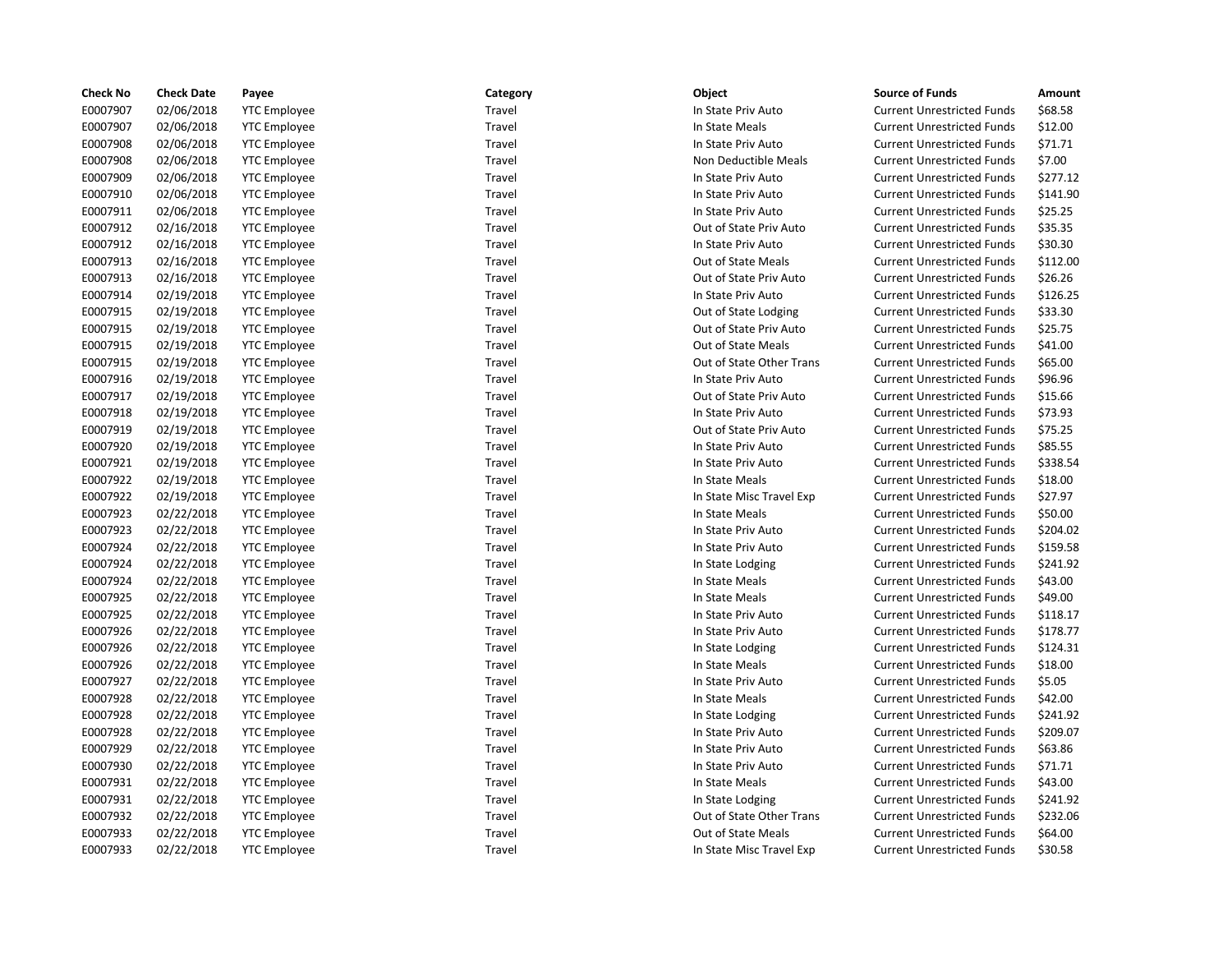| <b>Check No</b> | <b>Check Date</b> | Payee               | Category | Object                   | <b>Source of Funds</b>            | Amount   |
|-----------------|-------------------|---------------------|----------|--------------------------|-----------------------------------|----------|
| E0007907        | 02/06/2018        | <b>YTC Employee</b> | Travel   | In State Priv Auto       | <b>Current Unrestricted Funds</b> | \$68.58  |
| E0007907        | 02/06/2018        | <b>YTC Employee</b> | Travel   | In State Meals           | <b>Current Unrestricted Funds</b> | \$12.00  |
| E0007908        | 02/06/2018        | <b>YTC Employee</b> | Travel   | In State Priv Auto       | <b>Current Unrestricted Funds</b> | \$71.71  |
| E0007908        | 02/06/2018        | <b>YTC Employee</b> | Travel   | Non Deductible Meals     | <b>Current Unrestricted Funds</b> | \$7.00   |
| E0007909        | 02/06/2018        | <b>YTC</b> Employee | Travel   | In State Priv Auto       | <b>Current Unrestricted Funds</b> | \$277.12 |
| E0007910        | 02/06/2018        | <b>YTC Employee</b> | Travel   | In State Priv Auto       | <b>Current Unrestricted Funds</b> | \$141.90 |
| E0007911        | 02/06/2018        | <b>YTC Employee</b> | Travel   | In State Priv Auto       | <b>Current Unrestricted Funds</b> | \$25.25  |
| E0007912        | 02/16/2018        | <b>YTC Employee</b> | Travel   | Out of State Priv Auto   | <b>Current Unrestricted Funds</b> | \$35.35  |
| E0007912        | 02/16/2018        | <b>YTC Employee</b> | Travel   | In State Priv Auto       | <b>Current Unrestricted Funds</b> | \$30.30  |
| E0007913        | 02/16/2018        | <b>YTC</b> Employee | Travel   | Out of State Meals       | <b>Current Unrestricted Funds</b> | \$112.00 |
| E0007913        | 02/16/2018        | <b>YTC Employee</b> | Travel   | Out of State Priv Auto   | <b>Current Unrestricted Funds</b> | \$26.26  |
| E0007914        | 02/19/2018        | <b>YTC Employee</b> | Travel   | In State Priv Auto       | <b>Current Unrestricted Funds</b> | \$126.25 |
| E0007915        | 02/19/2018        | <b>YTC Employee</b> | Travel   | Out of State Lodging     | <b>Current Unrestricted Funds</b> | \$33.30  |
| E0007915        | 02/19/2018        | <b>YTC Employee</b> | Travel   | Out of State Priv Auto   | <b>Current Unrestricted Funds</b> | \$25.75  |
| E0007915        | 02/19/2018        | <b>YTC Employee</b> | Travel   | Out of State Meals       | <b>Current Unrestricted Funds</b> | \$41.00  |
| E0007915        | 02/19/2018        | <b>YTC</b> Employee | Travel   | Out of State Other Trans | <b>Current Unrestricted Funds</b> | \$65.00  |
| E0007916        | 02/19/2018        | <b>YTC Employee</b> | Travel   | In State Priv Auto       | <b>Current Unrestricted Funds</b> | \$96.96  |
| E0007917        | 02/19/2018        | <b>YTC Employee</b> | Travel   | Out of State Priv Auto   | <b>Current Unrestricted Funds</b> | \$15.66  |
| E0007918        | 02/19/2018        | <b>YTC Employee</b> | Travel   | In State Priv Auto       | <b>Current Unrestricted Funds</b> | \$73.93  |
| E0007919        | 02/19/2018        | <b>YTC</b> Employee | Travel   | Out of State Priv Auto   | <b>Current Unrestricted Funds</b> | \$75.25  |
| E0007920        | 02/19/2018        | <b>YTC</b> Employee | Travel   | In State Priv Auto       | <b>Current Unrestricted Funds</b> | \$85.55  |
| E0007921        | 02/19/2018        | <b>YTC</b> Employee | Travel   | In State Priv Auto       | <b>Current Unrestricted Funds</b> | \$338.54 |
| E0007922        | 02/19/2018        | <b>YTC Employee</b> | Travel   | In State Meals           | <b>Current Unrestricted Funds</b> | \$18.00  |
| E0007922        | 02/19/2018        | <b>YTC Employee</b> | Travel   | In State Misc Travel Exp | <b>Current Unrestricted Funds</b> | \$27.97  |
| E0007923        | 02/22/2018        | <b>YTC Employee</b> | Travel   | In State Meals           | <b>Current Unrestricted Funds</b> | \$50.00  |
| E0007923        | 02/22/2018        | <b>YTC</b> Employee | Travel   | In State Priv Auto       | <b>Current Unrestricted Funds</b> | \$204.02 |
| E0007924        | 02/22/2018        | <b>YTC</b> Employee | Travel   | In State Priv Auto       | <b>Current Unrestricted Funds</b> | \$159.58 |
| E0007924        | 02/22/2018        | <b>YTC Employee</b> | Travel   | In State Lodging         | <b>Current Unrestricted Funds</b> | \$241.92 |
| E0007924        | 02/22/2018        | <b>YTC Employee</b> | Travel   | In State Meals           | <b>Current Unrestricted Funds</b> | \$43.00  |
| E0007925        | 02/22/2018        | <b>YTC Employee</b> | Travel   | In State Meals           | <b>Current Unrestricted Funds</b> | \$49.00  |
| E0007925        | 02/22/2018        | <b>YTC Employee</b> | Travel   | In State Priv Auto       | <b>Current Unrestricted Funds</b> | \$118.17 |
| E0007926        | 02/22/2018        | <b>YTC</b> Employee | Travel   | In State Priv Auto       | <b>Current Unrestricted Funds</b> | \$178.77 |
| E0007926        | 02/22/2018        | <b>YTC</b> Employee | Travel   | In State Lodging         | <b>Current Unrestricted Funds</b> | \$124.31 |
| E0007926        | 02/22/2018        | <b>YTC Employee</b> | Travel   | In State Meals           | <b>Current Unrestricted Funds</b> | \$18.00  |
| E0007927        | 02/22/2018        | <b>YTC Employee</b> | Travel   | In State Priv Auto       | <b>Current Unrestricted Funds</b> | \$5.05   |
| E0007928        | 02/22/2018        | <b>YTC</b> Employee | Travel   | In State Meals           | <b>Current Unrestricted Funds</b> | \$42.00  |
| E0007928        | 02/22/2018        | <b>YTC</b> Employee | Travel   | In State Lodging         | <b>Current Unrestricted Funds</b> | \$241.92 |
| E0007928        | 02/22/2018        | <b>YTC</b> Employee | Travel   | In State Priv Auto       | <b>Current Unrestricted Funds</b> | \$209.07 |
| E0007929        | 02/22/2018        | <b>YTC Employee</b> | Travel   | In State Priv Auto       | <b>Current Unrestricted Funds</b> | \$63.86  |
| E0007930        | 02/22/2018        | <b>YTC Employee</b> | Travel   | In State Priv Auto       | <b>Current Unrestricted Funds</b> | \$71.71  |
| E0007931        | 02/22/2018        | <b>YTC Employee</b> | Travel   | In State Meals           | <b>Current Unrestricted Funds</b> | \$43.00  |
| E0007931        | 02/22/2018        | <b>YTC</b> Employee | Travel   | In State Lodging         | <b>Current Unrestricted Funds</b> | \$241.92 |
| E0007932        | 02/22/2018        | <b>YTC</b> Employee | Travel   | Out of State Other Trans | <b>Current Unrestricted Funds</b> | \$232.06 |
| E0007933        | 02/22/2018        | <b>YTC</b> Employee | Travel   | Out of State Meals       | <b>Current Unrestricted Funds</b> | \$64.00  |
| E0007933        | 02/22/2018        | <b>YTC Employee</b> | Travel   | In State Misc Travel Exp | <b>Current Unrestricted Funds</b> | \$30.58  |